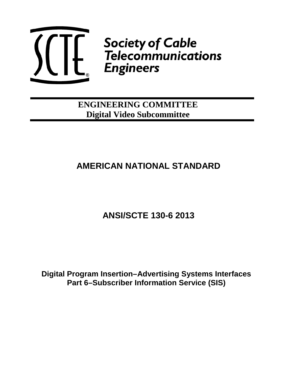

# **The Society of Cable<br>
Lette Felecommunications<br>
Lette Engineers**

**ENGINEERING COMMITTEE Digital Video Subcommittee**

# **AMERICAN NATIONAL STANDARD**

# **ANSI/SCTE 130-6 2013**

**Digital Program Insertion–Advertising Systems Interfaces Part 6–Subscriber Information Service (SIS)**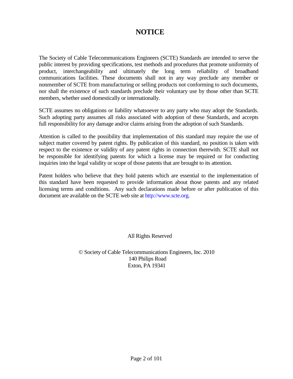### **NOTICE**

The Society of Cable Telecommunications Engineers (SCTE) Standards are intended to serve the public interest by providing specifications, test methods and procedures that promote uniformity of product, interchangeability and ultimately the long term reliability of broadband communications facilities. These documents shall not in any way preclude any member or nonmember of SCTE from manufacturing or selling products not conforming to such documents, nor shall the existence of such standards preclude their voluntary use by those other than SCTE members, whether used domestically or internationally.

SCTE assumes no obligations or liability whatsoever to any party who may adopt the Standards. Such adopting party assumes all risks associated with adoption of these Standards, and accepts full responsibility for any damage and/or claims arising from the adoption of such Standards.

Attention is called to the possibility that implementation of this standard may require the use of subject matter covered by patent rights. By publication of this standard, no position is taken with respect to the existence or validity of any patent rights in connection therewith. SCTE shall not be responsible for identifying patents for which a license may be required or for conducting inquiries into the legal validity or scope of those patents that are brought to its attention.

Patent holders who believe that they hold patents which are essential to the implementation of this standard have been requested to provide information about those patents and any related licensing terms and conditions. Any such declarations made before or after publication of this document are available on the SCTE web site at [http://www.scte.org.](http://www.scte.org./)

All Rights Reserved

© Society of Cable Telecommunications Engineers, Inc. 2010 140 Philips Road Exton, PA 19341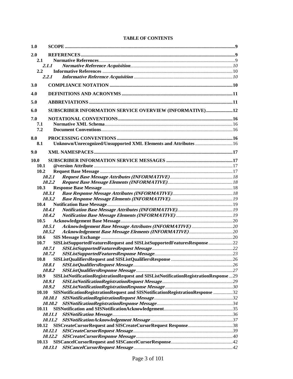| 1.0           |                                                                                       |  |
|---------------|---------------------------------------------------------------------------------------|--|
| 2.0           |                                                                                       |  |
| 2.1           |                                                                                       |  |
|               | 2.1.1                                                                                 |  |
| $2.2^{\circ}$ |                                                                                       |  |
|               | 2.2.1                                                                                 |  |
|               |                                                                                       |  |
| 3.0           |                                                                                       |  |
| 4.0           |                                                                                       |  |
| 5.0           |                                                                                       |  |
| 6.0           | SUBSCRIBER INFORMATION SERVICE OVERVIEW (INFORMATIVE)12                               |  |
| 7.0           |                                                                                       |  |
| 7.1           |                                                                                       |  |
| 7.2           |                                                                                       |  |
|               |                                                                                       |  |
| 8.0           |                                                                                       |  |
| 8.1           | Unknown/Unrecognized/Unsupported XML Elements and Attributes  16                      |  |
| 9.0           |                                                                                       |  |
| <b>10.0</b>   |                                                                                       |  |
| 10.1          |                                                                                       |  |
| 10.2          |                                                                                       |  |
|               | 10.2.1                                                                                |  |
|               | 10.2.2                                                                                |  |
| 10.3          |                                                                                       |  |
|               | 10.3.1                                                                                |  |
|               | 10.3.2                                                                                |  |
| 10.4          |                                                                                       |  |
|               | 10.4.1<br>10.4.2                                                                      |  |
| 10.5          |                                                                                       |  |
|               | 10.5.1                                                                                |  |
|               | 10.5.2                                                                                |  |
| 10.6          |                                                                                       |  |
| 10.7          | SISListSupportedFeaturesRequest and SISListSupportedFeaturesResponse 22               |  |
|               | 10.7.1                                                                                |  |
|               | 10.7.2                                                                                |  |
| 10.8          |                                                                                       |  |
|               | <i>10.8.1</i>                                                                         |  |
|               | 10.8.2                                                                                |  |
| 10.9          | SISListNotificationRegistrationRequest and SISListNotificationRegistrationResponse 29 |  |
|               | 10.9.1                                                                                |  |
|               | 10.9.2                                                                                |  |
| 10.10         | SISNotificationRegistrationRequest and SISNotificationRegistrationResponse 32         |  |
|               | 10.10.1                                                                               |  |
|               | <i>10.10.2</i>                                                                        |  |
| 10.11         |                                                                                       |  |
|               | 10.11.1<br><i>10.11.2</i>                                                             |  |
| 10.12         |                                                                                       |  |
|               | 10.12.1                                                                               |  |
|               |                                                                                       |  |
| 10.13         |                                                                                       |  |
|               |                                                                                       |  |
|               |                                                                                       |  |

#### **TABLE OF CONTENTS**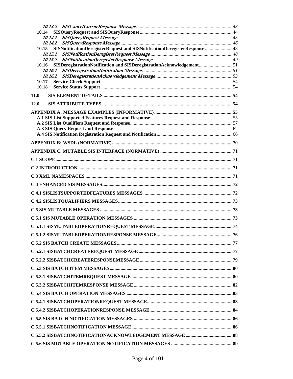| 10.14                                                                           |  |  |
|---------------------------------------------------------------------------------|--|--|
|                                                                                 |  |  |
| 10.15 SISNotificationDeregisterRequest and SISNotificationDeregisterResponse 48 |  |  |
|                                                                                 |  |  |
|                                                                                 |  |  |
| 10.16 SISDeregistrationNotification and SISDeregistrationAcknowledgement51      |  |  |
|                                                                                 |  |  |
| 10.17                                                                           |  |  |
| 10.18                                                                           |  |  |
| 11.0                                                                            |  |  |
| 12.0                                                                            |  |  |
|                                                                                 |  |  |
|                                                                                 |  |  |
|                                                                                 |  |  |
|                                                                                 |  |  |
|                                                                                 |  |  |
|                                                                                 |  |  |
|                                                                                 |  |  |
|                                                                                 |  |  |
|                                                                                 |  |  |
|                                                                                 |  |  |
|                                                                                 |  |  |
|                                                                                 |  |  |
|                                                                                 |  |  |
|                                                                                 |  |  |
|                                                                                 |  |  |
|                                                                                 |  |  |
|                                                                                 |  |  |
|                                                                                 |  |  |
|                                                                                 |  |  |
|                                                                                 |  |  |
|                                                                                 |  |  |
|                                                                                 |  |  |
|                                                                                 |  |  |
|                                                                                 |  |  |
|                                                                                 |  |  |
|                                                                                 |  |  |
|                                                                                 |  |  |
|                                                                                 |  |  |
|                                                                                 |  |  |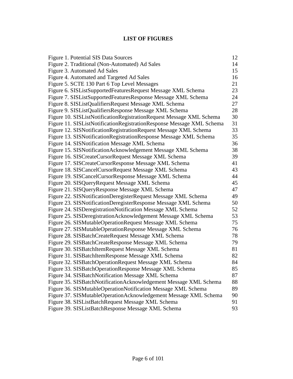#### **LIST OF FIGURES**

| <b>Figure 1. Potential SIS Data Sources</b>                           | 12 |
|-----------------------------------------------------------------------|----|
| Figure 2. Traditional (Non-Automated) Ad Sales                        | 14 |
| Figure 3. Automated Ad Sales                                          | 15 |
| Figure 4. Automated and Targeted Ad Sales                             | 16 |
| Figure 5. SCTE 130 Part 6 Top Level Messages                          | 21 |
| Figure 6. SISListSupportedFeaturesRequest Message XML Schema          | 23 |
| Figure 7. SISListSupportedFeaturesResponse Message XML Schema         | 24 |
| Figure 8. SISListQualifiersRequest Message XML Schema                 | 27 |
| Figure 9. SISListQualifiersResponse Message XML Schema                | 28 |
| Figure 10. SISListNotificationRegistrationRequest Message XML Schema  | 30 |
| Figure 11. SISListNotificationRegistrationResponse Message XML Schema | 31 |
| Figure 12. SISNotificationRegistrationRequest Message XML Schema      | 33 |
| Figure 13. SISNotificationRegistrationResponse Message XML Schema     | 35 |
| Figure 14. SISNotification Message XML Schema                         | 36 |
| Figure 15. SISNotificationAcknowledgement Message XML Schema          | 38 |
| Figure 16. SISCreateCursorRequest Message XML Schema                  | 39 |
| Figure 17. SISCreateCursorResponse Message XML Schema                 | 41 |
| Figure 18. SISCancelCursorRequest Message XML Schema                  | 43 |
| Figure 19. SISCancelCursorResponse Message XML Schema                 | 44 |
| Figure 20. SISQueryRequest Message XML Schema                         | 45 |
| Figure 21. SISQueryResponse Message XML Schema                        | 47 |
| Figure 22. SISNotificationDeregisterRequest Message XML Schema        | 49 |
| Figure 23. SISNotificationDeregisterResponse Message XML Schema       | 50 |
| Figure 24. SISDeregistrationNotification Message XML Schema           | 52 |
| Figure 25. SISDeregistrationAcknowledgement Message XML Schema        | 53 |
| Figure 26. SISMutableOperationRequest Message XML Schema              | 75 |
| Figure 27. SISMutableOperationResponse Message XML Schema             | 76 |
| Figure 28. SISBatchCreateRequest Message XML Schema                   | 78 |
| Figure 29. SISBatchCreateResponse Message XML Schema                  | 79 |
| Figure 30. SISBatchItemRequest Message XML Schema                     | 81 |
| Figure 31. SISBatchItemResponse Message XML Schema                    | 82 |
| Figure 32. SISBatchOperationRequest Message XML Schema                | 84 |
| Figure 33. SISBatchOperationResponse Message XML Schema               | 85 |
| Figure 34. SISBatchNotification Message XML Schema                    | 87 |
| Figure 35. SISBatchNotificationAcknowledgement Message XML Schema     | 88 |
| Figure 36. SISMutableOperationNotification Message XML Schema         | 89 |
| Figure 37. SISMutableOperationAcknowledgement Message XML Schema      | 90 |
| Figure 38. SISListBatchRequest Message XML Schema                     | 91 |
| Figure 39. SISListBatchResponse Message XML Schema                    | 93 |
|                                                                       |    |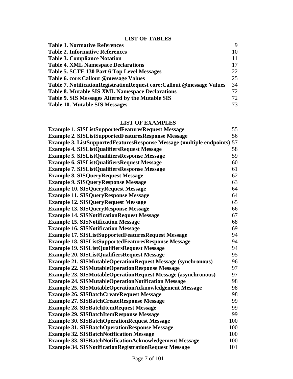#### **LIST OF TABLES**

| <b>Table 1. Normative References</b>                                     | $\mathbf Q$ |
|--------------------------------------------------------------------------|-------------|
| <b>Table 2. Informative References</b>                                   | 10          |
| <b>Table 3. Compliance Notation</b>                                      | 11          |
| <b>Table 4. XML Namespace Declarations</b>                               | 17          |
| Table 5. SCTE 130 Part 6 Top Level Messages                              | 22          |
| Table 6. core: Callout @message Values                                   | 25          |
| Table 7. Notification Registration Request core: Callout @message Values | 34          |
| <b>Table 8. Mutable SIS XML Namespace Declarations</b>                   | 72          |
| Table 9. SIS Messages Altered by the Mutable SIS                         | 72.         |
| <b>Table 10. Mutable SIS Messages</b>                                    | 73          |

#### **LIST OF EXAMPLES**

| <b>Example 1. SISListSupportedFeaturesRequest Message</b>                       | 55  |
|---------------------------------------------------------------------------------|-----|
| <b>Example 2. SISListSupportedFeaturesResponse Message</b>                      | 56  |
| <b>Example 3. ListSupportedFeaturesResponse Message (multiple endpoints) 57</b> |     |
| <b>Example 4. SISListQualifiersRequest Message</b>                              | 58  |
| <b>Example 5. SISListQualifiersResponse Message</b>                             | 59  |
| <b>Example 6. SISListQualifiersRequest Message</b>                              | 60  |
| <b>Example 7. SISListQualifiersResponse Message</b>                             | 61  |
| <b>Example 8. SISQueryRequest Message</b>                                       | 62  |
| <b>Example 9. SISQueryResponse Message</b>                                      | 63  |
| <b>Example 10. SISQueryRequest Message</b>                                      | 64  |
| <b>Example 11. SISQueryResponse Message</b>                                     | 64  |
| <b>Example 12. SISQueryRequest Message</b>                                      | 65  |
| <b>Example 13. SISQueryResponse Message</b>                                     | 66  |
| <b>Example 14. SISNotification Request Message</b>                              | 67  |
| <b>Example 15. SISNotification Message</b>                                      | 68  |
| <b>Example 16. SISNotification Message</b>                                      | 69  |
| <b>Example 17. SISListSupportedFeaturesRequest Message</b>                      | 94  |
| <b>Example 18. SISListSupportedFeaturesResponse Message</b>                     | 94  |
| <b>Example 19. SISListQualifiersRequest Message</b>                             | 94  |
| <b>Example 20. SISListQualifiersRequest Message</b>                             | 95  |
| <b>Example 21. SISMutableOperationRequest Message (synchronous)</b>             | 96  |
| <b>Example 22. SISMutableOperationResponse Message</b>                          | 97  |
| <b>Example 23. SISMutableOperationRequest Message (asynchronous)</b>            | 97  |
| <b>Example 24. SISMutableOperationNotification Message</b>                      | 98  |
| <b>Example 25. SISMutableOperationAcknowledgement Message</b>                   | 98  |
| <b>Example 26. SISBatchCreateRequest Message</b>                                | 98  |
| <b>Example 27. SISBatchCreateResponse Message</b>                               | 99  |
| <b>Example 28. SISBatchItemRequest Message</b>                                  | 99  |
| <b>Example 29. SISBatchItemResponse Message</b>                                 | 99  |
| <b>Example 30. SISBatchOperationRequest Message</b>                             | 100 |
| <b>Example 31. SISBatchOperationResponse Message</b>                            | 100 |
| <b>Example 32. SISBatchNotification Message</b>                                 | 100 |
| <b>Example 33. SISBatchNotificationAcknowledgement Message</b>                  | 100 |
| <b>Example 34. SISNotificationRegistrationRequest Message</b>                   | 101 |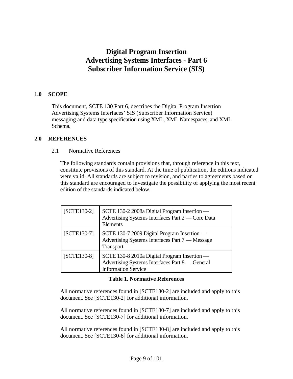## **Digital Program Insertion Advertising Systems Interfaces - Part 6 Subscriber Information Service (SIS)**

#### <span id="page-8-0"></span>**1.0 SCOPE**

This document, SCTE 130 Part 6, describes the Digital Program Insertion Advertising Systems Interfaces' SIS (Subscriber Information Service) messaging and data type specification using XML, XML Namespaces, and XML Schema.

#### <span id="page-8-2"></span><span id="page-8-1"></span>**2.0 REFERENCES**

#### 2.1 Normative References

The following standards contain provisions that, through reference in this text, constitute provisions of this standard. At the time of publication, the editions indicated were valid. All standards are subject to revision, and parties to agreements based on this standard are encouraged to investigate the possibility of applying the most recent edition of the standards indicated below.

| $[SCTE130-2]$ | SCTE 130-2 2008a Digital Program Insertion —<br>Advertising Systems Interfaces Part 2 - Core Data<br>Elements                 |
|---------------|-------------------------------------------------------------------------------------------------------------------------------|
| $[SCTE130-7]$ | SCTE 130-7 2009 Digital Program Insertion -<br>Advertising Systems Interfaces Part 7 — Message<br><b>Transport</b>            |
| $[SCTE130-8]$ | SCTE 130-8 2010a Digital Program Insertion -<br>Advertising Systems Interfaces Part 8 — General<br><b>Information Service</b> |

#### **Table 1. Normative References**

<span id="page-8-3"></span>All normative references found in [SCTE130-2] are included and apply to this document. See [SCTE130-2] for additional information.

All normative references found in [SCTE130-7] are included and apply to this document. See [SCTE130-7] for additional information.

All normative references found in [SCTE130-8] are included and apply to this document. See [SCTE130-8] for additional information.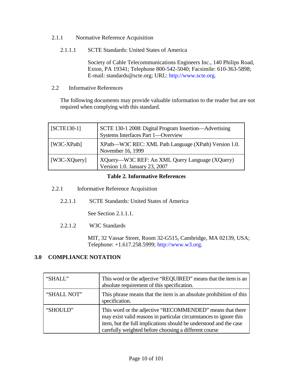- <span id="page-9-0"></span>2.1.1 Normative Reference Acquisition
	- 2.1.1.1 SCTE Standards: United States of America

Society of Cable Telecommunications Engineers Inc., 140 Philips Road, Exton, PA 19341; Telephone 800-542-5040; Facsimile: 610-363-5898; E-mail: standards@scte.org; URL: [http://www.scte.org.](http://www.scte.org./)

<span id="page-9-1"></span>2.2 Informative References

The following documents may provide valuable information to the reader but are not required when complying with this standard.

| $[SCTE130-1]$ | SCTE 130-1 2008: Digital Program Insertion—Advertising<br>Systems Interfaces Part 1—Overview |  |
|---------------|----------------------------------------------------------------------------------------------|--|
| [W3C-XPath]   | XPath—W3C REC: XML Path Language (XPath) Version 1.0.<br>November 16, 1999                   |  |
| [W3C-XQuery]  | XQuery—W3C REF: An XML Query Language (XQuery)<br>Version 1.0. January 23, 2007              |  |

#### **Table 2. Informative References**

- <span id="page-9-4"></span><span id="page-9-2"></span>2.2.1 Informative Reference Acquisition
	- 2.2.1.1 SCTE Standards: United States of America

See Section 2.1.1.1.

2.2.1.2 W3C Standards

MIT, 32 Vassar Street, Room 32-G515, Cambridge, MA 02139, USA; Telephone: +1.617.258.5999; [http://www.w3.org.](http://www.w3.org./)

#### <span id="page-9-3"></span>**3.0 COMPLIANCE NOTATION**

| "SHALL"     | This word or the adjective "REQUIRED" means that the item is an<br>absolute requirement of this specification.                                                                                                                                                |  |
|-------------|---------------------------------------------------------------------------------------------------------------------------------------------------------------------------------------------------------------------------------------------------------------|--|
| "SHALL NOT" | This phrase means that the item is an absolute prohibition of this<br>specification.                                                                                                                                                                          |  |
| "SHOULD"    | This word or the adjective "RECOMMENDED" means that there<br>may exist valid reasons in particular circumstances to ignore this<br>item, but the full implications should be understood and the case<br>carefully weighted before choosing a different course |  |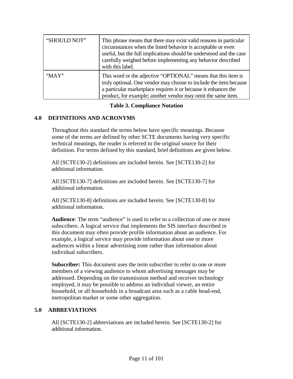| "SHOULD NOT" | This phrase means that there may exist valid reasons in particular<br>circumstances when the listed behavior is acceptable or even<br>useful, but the full implications should be understood and the case<br>carefully weighed before implementing any behavior described<br>with this label. |
|--------------|-----------------------------------------------------------------------------------------------------------------------------------------------------------------------------------------------------------------------------------------------------------------------------------------------|
| " $MAX"$     | This word or the adjective "OPTIONAL" means that this item is<br>truly optional. One vendor may choose to include the item because<br>a particular marketplace requires it or because it enhances the<br>product, for example; another vendor may omit the same item.                         |

#### **Table 3. Compliance Notation**

#### <span id="page-10-2"></span><span id="page-10-0"></span>**4.0 DEFINITIONS AND ACRONYMS**

Throughout this standard the terms below have specific meanings. Because some of the terms are defined by other SCTE documents having very specific technical meanings, the reader is referred to the original source for their definition. For terms defined by this standard, brief definitions are given below.

All [SCTE130-2] definitions are included herein. See [SCTE130-2] for additional information.

All [SCTE130-7] definitions are included herein. See [SCTE130-7] for additional information.

All [SCTE130-8] definitions are included herein. See [SCTE130-8] for additional information.

**Audience**: The term "audience" is used to refer to a collection of one or more subscribers. A logical service that implements the SIS interface described in this document may often provide profile information about an audience. For example, a logical service may provide information about one or more audiences within a linear advertising zone rather than information about individual subscribers.

**Subscriber:** This document uses the term subscriber to refer to one or more members of a viewing audience to whom advertising messages may be addressed. Depending on the transmission method and receiver technology employed, it may be possible to address an individual viewer, an entire household, or all households in a broadcast area such as a cable head-end, metropolitan market or some other aggregation.

#### <span id="page-10-1"></span>**5.0 ABBREVIATIONS**

All [SCTE130-2] abbreviations are included herein. See [SCTE130-2] for additional information.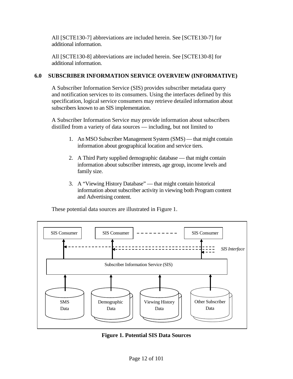All [SCTE130-7] abbreviations are included herein. See [SCTE130-7] for additional information.

All [SCTE130-8] abbreviations are included herein. See [SCTE130-8] for additional information.

#### <span id="page-11-0"></span>**6.0 SUBSCRIBER INFORMATION SERVICE OVERVIEW (INFORMATIVE)**

A Subscriber Information Service (SIS) provides subscriber metadata query and notification services to its consumers. Using the interfaces defined by this specification, logical service consumers may retrieve detailed information about subscribers known to an SIS implementation.

A Subscriber Information Service may provide information about subscribers distilled from a variety of data sources — including, but not limited to

- 1. An MSO Subscriber Management System (SMS) that might contain information about geographical location and service tiers.
- 2. A Third Party supplied demographic database that might contain information about subscriber interests, age group, income levels and family size.
- 3. A "Viewing History Database" that might contain historical information about subscriber activity in viewing both Program content and Advertising content.

These potential data sources are illustrated in [Figure 1.](#page-11-1)



<span id="page-11-1"></span>**Figure 1. Potential SIS Data Sources**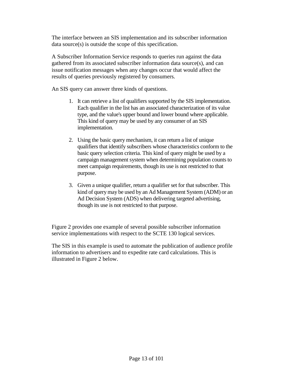The interface between an SIS implementation and its subscriber information data source(s) is outside the scope of this specification.

A Subscriber Information Service responds to queries run against the data gathered from its associated subscriber information data source(s), and can issue notification messages when any changes occur that would affect the results of queries previously registered by consumers.

An SIS query can answer three kinds of questions.

- 1. It can retrieve a list of qualifiers supported by the SIS implementation. Each qualifier in the list has an associated characterization of its value type, and the value's upper bound and lower bound where applicable. This kind of query may be used by any consumer of an SIS implementation.
- 2. Using the basic query mechanism, it can return a list of unique qualifiers that identify subscribers whose characteristics conform to the basic query selection criteria. This kind of query might be used by a campaign management system when determining population counts to meet campaign requirements, though its use is not restricted to that purpose.
- 3. Given a unique qualifier, return a qualifier set for that subscriber. This kind of query may be used by an Ad Management System (ADM) or an Ad Decision System (ADS) when delivering targeted advertising, though its use is not restricted to that purpose.

[Figure 2](#page-13-0) provides one example of several possible subscriber information service implementations with respect to the SCTE 130 logical services.

The SIS in this example is used to automate the publication of audience profile information to advertisers and to expedite rate card calculations. This is illustrated in [Figure 2](#page-13-1) below.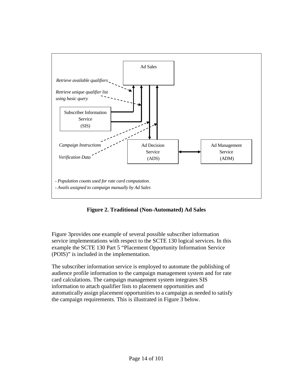

**Figure 2. Traditional (Non-Automated) Ad Sales**

<span id="page-13-1"></span><span id="page-13-0"></span>[Figure 3p](#page-14-0)rovides one example of several possible subscriber information service implementations with respect to the SCTE 130 logical services. In this example the SCTE 130 Part 5 "Placement Opportunity Information Service (POIS)" is included in the implementation.

The subscriber information service is employed to automate the publishing of audience profile information to the campaign management system and for rate card calculations. The campaign management system integrates SIS information to attach qualifier lists to placement opportunities and automatically assign placement opportunities to a campaign as needed to satisfy the campaign requirements. This is illustrated in [Figure 3](#page-14-0) below.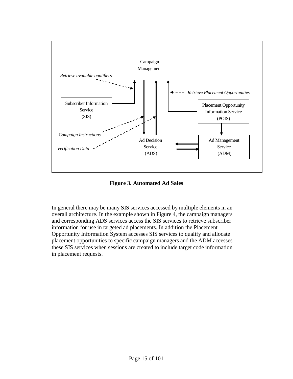

**Figure 3. Automated Ad Sales**

<span id="page-14-0"></span>In general there may be many SIS services accessed by multiple elements in an overall architecture. In the example shown in [Figure 4,](#page-15-5) the campaign managers and corresponding ADS services access the SIS services to retrieve subscriber information for use in targeted ad placements. In addition the Placement Opportunity Information System accesses SIS services to qualify and allocate placement opportunities to specific campaign managers and the ADM accesses these SIS services when sessions are created to include target code information in placement requests.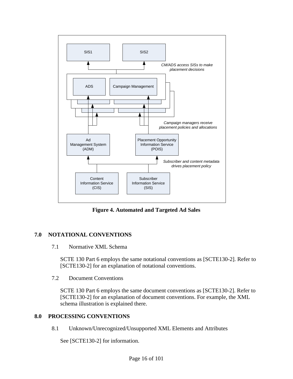

**Figure 4. Automated and Targeted Ad Sales**

#### <span id="page-15-5"></span><span id="page-15-1"></span><span id="page-15-0"></span>**7.0 NOTATIONAL CONVENTIONS**

#### 7.1 Normative XML Schema

SCTE 130 Part 6 employs the same notational conventions as [SCTE130-2]. Refer to [SCTE130-2] for an explanation of notational conventions.

<span id="page-15-2"></span>7.2 Document Conventions

SCTE 130 Part 6 employs the same document conventions as [SCTE130-2]. Refer to [SCTE130-2] for an explanation of document conventions. For example, the XML schema illustration is explained there.

#### <span id="page-15-4"></span><span id="page-15-3"></span>**8.0 PROCESSING CONVENTIONS**

8.1 Unknown/Unrecognized/Unsupported XML Elements and Attributes

See [SCTE130-2] for information.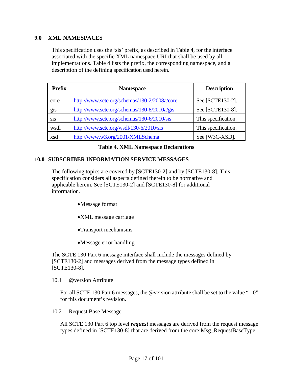#### <span id="page-16-0"></span>**9.0 XML NAMESPACES**

This specification uses the 'sis' prefix, as described in [Table 4,](#page-16-4) for the interface associated with the specific XML namespace URI that shall be used by all implementations. [Table 4](#page-16-4) lists the prefix, the corresponding namespace, and a description of the defining specification used herein.

| <b>Prefix</b> | <b>Namespace</b>                             | <b>Description</b>  |
|---------------|----------------------------------------------|---------------------|
| core          | http://www.scte.org/schemas/130-2/2008a/core | See [SCTE130-2].    |
| gis           | http://www.scte.org/schemas/130-8/2010a/gis  | See [SCTE130-8].    |
| sis           | http://www.scte.org/schemas/130-6/2010/sis   | This specification. |
| wsdl          | http://www.scte.org/wsdl/130-6/2010/sis      | This specification. |
| xsd           | http://www.w3.org/2001/XMLSchema             | See [W3C-XSD].      |

#### **Table 4. XML Namespace Declarations**

#### <span id="page-16-4"></span><span id="page-16-1"></span>**10.0 SUBSCRIBER INFORMATION SERVICE MESSAGES**

The following topics are covered by [SCTE130-2] and by [SCTE130-8]. This specification considers all aspects defined therein to be normative and applicable herein. See [SCTE130-2] and [SCTE130-8] for additional information.

- •Message format
- •XML message carriage
- •Transport mechanisms
- •Message error handling

The SCTE 130 Part 6 message interface shall include the messages defined by [SCTE130-2] and messages derived from the message types defined in [SCTE130-8].

<span id="page-16-2"></span>10.1 @version Attribute

For all SCTE 130 Part 6 messages, the @version attribute shall be set to the value "1.0" for this document's revision.

<span id="page-16-3"></span>10.2 Request Base Message

All SCTE 130 Part 6 top level *request* messages are derived from the request message types defined in [SCTE130-8] that are derived from the core:Msg\_RequestBaseType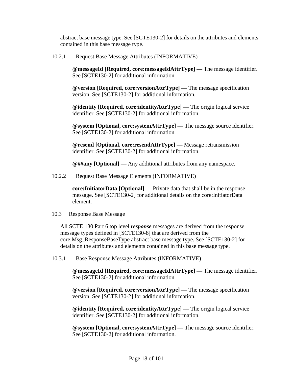abstract base message type. See [SCTE130-2] for details on the attributes and elements contained in this base message type.

<span id="page-17-0"></span>10.2.1 Request Base Message Attributes (INFORMATIVE)

**@messageId [Required, core:messageIdAttrType] —** The message identifier. See [SCTE130-2] for additional information.

**@version [Required, core:versionAttrType] —** The message specification version. See [SCTE130-2] for additional information.

**@identity [Required, core:identityAttrType] —** The origin logical service identifier. See [SCTE130-2] for additional information.

**@system [Optional, core:systemAttrType] —** The message source identifier. See [SCTE130-2] for additional information.

**@resend [Optional, core:resendAttrType] —** Message retransmission identifier. See [SCTE130-2] for additional information.

**@##any [Optional] —** Any additional attributes from any namespace.

<span id="page-17-1"></span>10.2.2 Request Base Message Elements (INFORMATIVE)

**core:InitiatorData [Optional]** — Private data that shall be in the response message. See [SCTE130-2] for additional details on the core:InitiatorData element.

<span id="page-17-2"></span>10.3 Response Base Message

All SCTE 130 Part 6 top level *response* messages are derived from the response message types defined in [SCTE130-8] that are derived from the core:Msg\_ResponseBaseType abstract base message type. See [SCTE130-2] for details on the attributes and elements contained in this base message type.

<span id="page-17-3"></span>10.3.1 Base Response Message Attributes (INFORMATIVE)

**@messageId [Required, core:messageIdAttrType] —** The message identifier. See [SCTE130-2] for additional information.

**@version [Required, core:versionAttrType] —** The message specification version. See [SCTE130-2] for additional information.

**@identity [Required, core:identityAttrType] —** The origin logical service identifier. See [SCTE130-2] for additional information.

**@system [Optional, core:systemAttrType] —** The message source identifier. See [SCTE130-2] for additional information.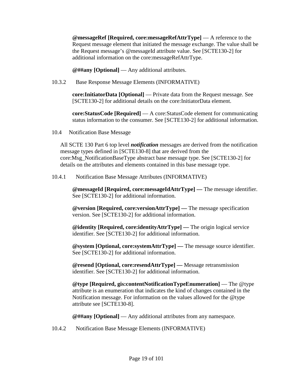**@messageRef [Required, core:messageRefAttrType]** — A reference to the Request message element that initiated the message exchange. The value shall be the Request message's @messageId attribute value. See [SCTE130-2] for additional information on the core:messageRefAttrType.

**@##any [Optional]** — Any additional attributes.

<span id="page-18-0"></span>10.3.2 Base Response Message Elements (INFORMATIVE)

**core:InitiatorData [Optional]** — Private data from the Request message. See [SCTE130-2] for additional details on the core:InitiatorData element.

**core:StatusCode [Required]** — A core:StatusCode element for communicating status information to the consumer. See [SCTE130-2] for additional information.

<span id="page-18-1"></span>10.4 Notification Base Message

All SCTE 130 Part 6 top level *notification* messages are derived from the notification message types defined in [SCTE130-8] that are derived from the core:Msg\_NotificationBaseType abstract base message type. See [SCTE130-2] for details on the attributes and elements contained in this base message type.

<span id="page-18-2"></span>10.4.1 Notification Base Message Attributes (INFORMATIVE)

**@messageId [Required, core:messageIdAttrType] —** The message identifier. See [SCTE130-2] for additional information.

**@version [Required, core:versionAttrType] —** The message specification version. See [SCTE130-2] for additional information.

**@identity [Required, core:identityAttrType] —** The origin logical service identifier. See [SCTE130-2] for additional information.

**@system [Optional, core:systemAttrType] —** The message source identifier. See [SCTE130-2] for additional information.

**@resend [Optional, core:resendAttrType] —** Message retransmission identifier. See [SCTE130-2] for additional information.

**@type [Required, gis:contentNotificationTypeEnumeration]** — The @type attribute is an enumeration that indicates the kind of changes contained in the Notification message. For information on the values allowed for the @type attribute see [SCTE130-8].

**@##any [Optional]** — Any additional attributes from any namespace.

<span id="page-18-3"></span>10.4.2 Notification Base Message Elements (INFORMATIVE)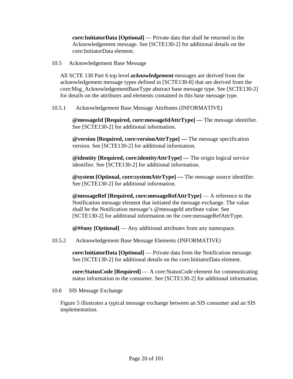**core:InitiatorData [Optional]** — Private data that shall be returned in the Acknowledgement message. See [SCTE130-2] for additional details on the core:InitiatorData element.

<span id="page-19-0"></span>10.5 Acknowledgement Base Message

All SCTE 130 Part 6 top level *acknowledgement* messages are derived from the acknowledgement message types defined in [SCTE130-8] that are derived from the core:Msg\_AcknowledgementBaseType abstract base message type. See [SCTE130-2] for details on the attributes and elements contained in this base message type.

<span id="page-19-1"></span>10.5.1 Acknowledgement Base Message Attributes (INFORMATIVE)

**@messageId [Required, core:messageIdAttrType] —** The message identifier. See [SCTE130-2] for additional information.

**@version [Required, core:versionAttrType] —** The message specification version. See [SCTE130-2] for additional information.

**@identity [Required, core:identityAttrType] —** The origin logical service identifier. See [SCTE130-2] for additional information.

**@system [Optional, core:systemAttrType] —** The message source identifier. See [SCTE130-2] for additional information.

**@messageRef [Required, core:messageRefAttrType]** — A reference to the Notification message element that initiated the message exchange. The value shall be the Notification message's @messageId attribute value. See [SCTE130-2] for additional information on the core:messageRefAttrType.

**@##any [Optional]** — Any additional attributes from any namespace.

<span id="page-19-2"></span>10.5.2 Acknowledgement Base Message Elements (INFORMATIVE)

**core:InitiatorData [Optional]** — Private data from the Notification message. See [SCTE130-2] for additional details on the core:InitiatorData element.

**core:StatusCode [Required]** — A core:StatusCode element for communicating status information to the consumer. See [SCTE130-2] for additional information.

<span id="page-19-3"></span>10.6 SIS Message Exchange

[Figure 5](#page-20-0) illustrates a typical message exchange between an SIS consumer and an SIS implementation.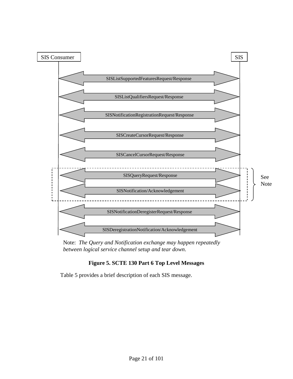

Note: *The Query and Notification exchange may happen repeatedly between logical service channel setup and tear down*.

#### **Figure 5. SCTE 130 Part 6 Top Level Messages**

<span id="page-20-0"></span>[Table 5](#page-21-2) provides a brief description of each SIS message.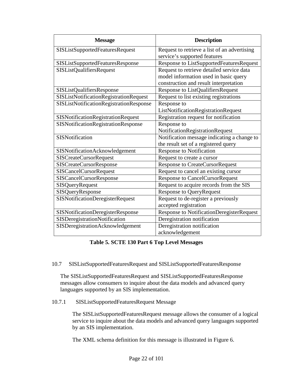| <b>Message</b>                                | <b>Description</b>                           |
|-----------------------------------------------|----------------------------------------------|
| <b>SISListSupportedFeaturesRequest</b>        | Request to retrieve a list of an advertising |
|                                               | service's supported features                 |
| <b>SISListSupportedFeaturesResponse</b>       | Response to ListSupportedFeaturesRequest     |
| <b>SISListQualifiersRequest</b>               | Request to retrieve detailed service data    |
|                                               | model information used in basic query        |
|                                               | construction and result interpretation       |
| SISListQualifiersResponse                     | Response to ListQualifiersRequest            |
| <b>SISListNotificationRegistrationRequest</b> | Request to list existing registrations       |
| SISListNotificationRegistrationResponse       | Response to                                  |
|                                               | ListNotificationRegistrationRequest          |
| SISNotificationRegistrationRequest            | Registration request for notification        |
| SISNotificationRegistrationResponse           | Response to                                  |
|                                               | NotificationRegistrationRequest              |
| <b>SISNotification</b>                        | Notification message indicating a change to  |
|                                               | the result set of a registered query         |
| SISNotificationAcknowledgement                | <b>Response to Notification</b>              |
| <b>SISCreateCursorRequest</b>                 | Request to create a cursor                   |
| <b>SISCreateCursorResponse</b>                | <b>Response to CreateCursorRequest</b>       |
| <b>SISCancelCursorRequest</b>                 | Request to cancel an existing cursor         |
| <b>SISCancelCursorResponse</b>                | <b>Response to CancelCursorRequest</b>       |
| <b>SISQueryRequest</b>                        | Request to acquire records from the SIS      |
| SISQueryResponse                              | <b>Response to QueryRequest</b>              |
| <b>SISNotificationDeregisterRequest</b>       | Request to de-register a previously          |
|                                               | accepted registration                        |
| SISNotificationDeregisterResponse             | Response to NotificationDeregisterRequest    |
| SISDeregistrationNotification                 | Deregistration notification                  |
| SISDeregistrationAcknowledgement              | Deregistration notification                  |
|                                               | acknowledgement                              |

**Table 5. SCTE 130 Part 6 Top Level Messages**

<span id="page-21-2"></span><span id="page-21-0"></span>10.7 SISListSupportedFeaturesRequest and SISListSupportedFeaturesResponse

The SISListSupportedFeaturesRequest and SISListSupportedFeaturesResponse messages allow consumers to inquire about the data models and advanced query languages supported by an SIS implementation.

<span id="page-21-1"></span>10.7.1 SISListSupportedFeaturesRequest Message

The SISListSupportedFeaturesRequest message allows the consumer of a logical service to inquire about the data models and advanced query languages supported by an SIS implementation.

The XML schema definition for this message is illustrated in [Figure 6.](#page-22-1)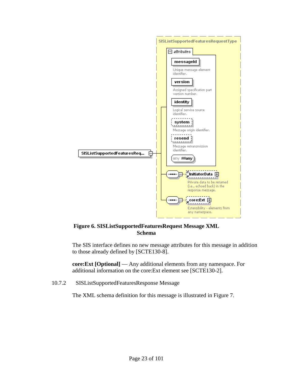

#### <span id="page-22-1"></span>**Figure 6. SISListSupportedFeaturesRequest Message XML Schema**

The SIS interface defines no new message attributes for this message in addition to those already defined by [SCTE130-8].

**core:Ext [Optional]** — Any additional elements from any namespace. For additional information on the core:Ext element see [SCTE130-2].

<span id="page-22-0"></span>10.7.2 SISListSupportedFeaturesResponse Message

The XML schema definition for this message is illustrated in [Figure 7.](#page-23-0)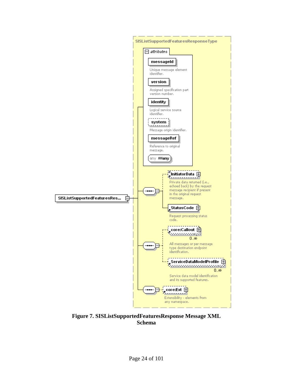

<span id="page-23-0"></span>**Figure 7. SISListSupportedFeaturesResponse Message XML Schema**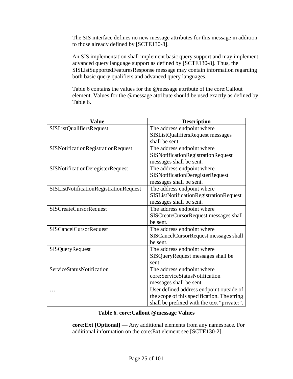The SIS interface defines no new message attributes for this message in addition to those already defined by [SCTE130-8].

An SIS implementation shall implement basic query support and may implement advanced query language support as defined by [SCTE130-8]. Thus, the SISListSupportedFeaturesResponse message may contain information regarding both basic query qualifiers and advanced query languages.

[Table 6](#page-24-0) contains the values for the @message attribute of the core:Callout element. Values for the @message attribute should be used exactly as defined by [Table 6.](#page-24-0)

| Value                                   | <b>Description</b>                          |
|-----------------------------------------|---------------------------------------------|
| <b>SISListQualifiersRequest</b>         | The address endpoint where                  |
|                                         | SISListQualifiersRequest messages           |
|                                         | shall be sent.                              |
| SISNotificationRegistrationRequest      | The address endpoint where                  |
|                                         | <b>SISNotificationRegistrationRequest</b>   |
|                                         | messages shall be sent.                     |
| <b>SISNotificationDeregisterRequest</b> | The address endpoint where                  |
|                                         | <b>SISNotificationDeregisterRequest</b>     |
|                                         | messages shall be sent.                     |
| SISListNotificationRegistrationRequest  | The address endpoint where                  |
|                                         | SISListNotificationRegistrationRequest      |
|                                         | messages shall be sent.                     |
| <b>SISCreateCursorRequest</b>           | The address endpoint where                  |
|                                         | SISCreateCursorRequest messages shall       |
|                                         | be sent.                                    |
| <b>SISCancelCursorRequest</b>           | The address endpoint where                  |
|                                         | SISCancelCursorRequest messages shall       |
|                                         | be sent.                                    |
| <b>SISQueryRequest</b>                  | The address endpoint where                  |
|                                         | SISQueryRequest messages shall be           |
|                                         | sent.                                       |
| ServiceStatusNotification               | The address endpoint where                  |
|                                         | core:ServiceStatusNotification              |
|                                         | messages shall be sent.                     |
|                                         | User defined address endpoint outside of    |
|                                         | the scope of this specification. The string |
|                                         | shall be prefixed with the text "private:". |

#### **Table 6. core:Callout @message Values**

<span id="page-24-0"></span>**core:Ext [Optional]** — Any additional elements from any namespace. For additional information on the core:Ext element see [SCTE130-2].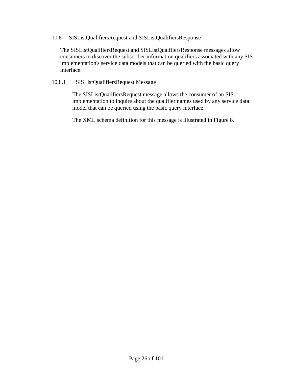#### <span id="page-25-0"></span>10.8 SISListQualifiersRequest and SISListQualifiersResponse

The SISListQualifiersRequest and SISListQualifiersResponse messages allow consumers to discover the subscriber information qualifiers associated with any SIS implementation's service data models that can be queried with the basic query interface.

#### <span id="page-25-1"></span>10.8.1 SISListQualifiersRequest Message

The SISListQualifiersRequest message allows the consumer of an SIS implementation to inquire about the qualifier names used by any service data model that can be queried using the basic query interface.

The XML schema definition for this message is illustrated in [Figure 8.](#page-26-1)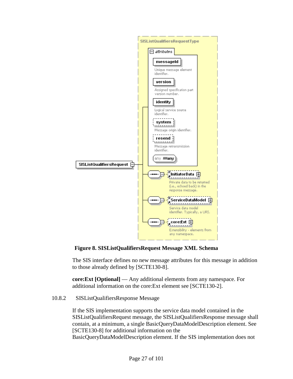

<span id="page-26-1"></span>**Figure 8. SISListQualifiersRequest Message XML Schema**

The SIS interface defines no new message attributes for this message in addition to those already defined by [SCTE130-8].

**core:Ext [Optional]** — Any additional elements from any namespace. For additional information on the core:Ext element see [SCTE130-2].

#### <span id="page-26-0"></span>10.8.2 SISListQualifiersResponse Message

If the SIS implementation supports the service data model contained in the SISListQualifiersRequest message, the SISListQualifiersResponse message shall contain, at a minimum, a single BasicQueryDataModelDescription element. See [SCTE130-8] for additional information on the

BasicQueryDataModelDescription element. If the SIS implementation does not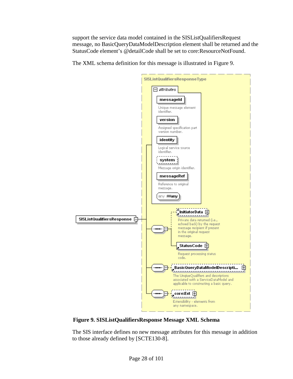support the service data model contained in the SISListQualifiersRequest message, no BasicQueryDataModelDescription element shall be returned and the StatusCode element's @detailCode shall be set to core:ResourceNotFound.





<span id="page-27-0"></span>**Figure 9. SISListQualifiersResponse Message XML Schema**

The SIS interface defines no new message attributes for this message in addition to those already defined by [SCTE130-8].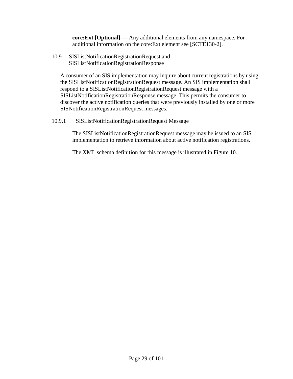**core:Ext [Optional]** — Any additional elements from any namespace. For additional information on the core:Ext element see [SCTE130-2].

<span id="page-28-0"></span>10.9 SISListNotificationRegistrationRequest and SISListNotificationRegistrationResponse

A consumer of an SIS implementation may inquire about current registrations by using the SISListNotificationRegistrationRequest message. An SIS implementation shall respond to a SISListNotificationRegistrationRequest message with a SISListNotificationRegistrationResponse message. This permits the consumer to discover the active notification queries that were previously installed by one or more SISNotificationRegistrationRequest messages.

<span id="page-28-1"></span>10.9.1 SISListNotificationRegistrationRequest Message

The SISListNotificationRegistrationRequest message may be issued to an SIS implementation to retrieve information about active notification registrations.

The XML schema definition for this message is illustrated in [Figure 10.](#page-29-1)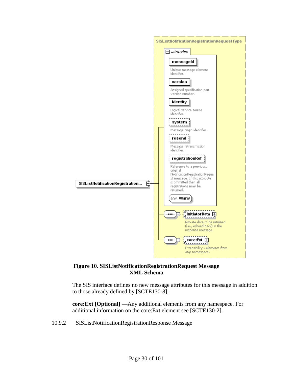

#### <span id="page-29-1"></span>**Figure 10. SISListNotificationRegistrationRequest Message XML Schema**

The SIS interface defines no new message attributes for this message in addition to those already defined by [SCTE130-8].

**core:Ext [Optional]** —Any additional elements from any namespace. For additional information on the core:Ext element see [SCTE130-2].

<span id="page-29-0"></span>10.9.2 SISListNotificationRegistrationResponse Message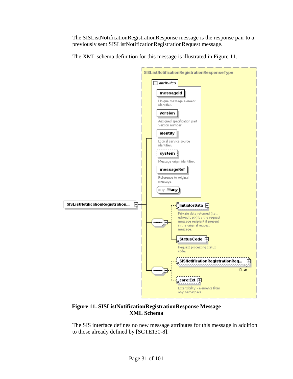The SISListNotificationRegistrationResponse message is the response pair to a previously sent SISListNotificationRegistrationRequest message.

The XML schema definition for this message is illustrated in [Figure 11.](#page-30-0)



#### <span id="page-30-0"></span>**Figure 11. SISListNotificationRegistrationResponse Message XML Schema**

The SIS interface defines no new message attributes for this message in addition to those already defined by [SCTE130-8].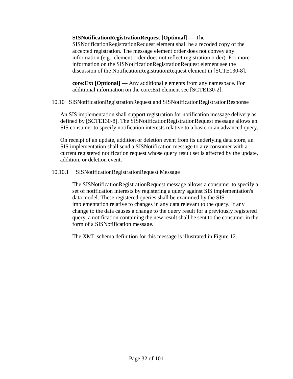#### **SISNotificationRegistrationRequest [Optional]** — The

SISNotificationRegistrationRequest element shall be a recoded copy of the accepted registration. The message element order does not convey any information (e.g., element order does not reflect registration order). For more information on the SISNotificationRegistrationRequest element see the discussion of the NotificationRegistrationRequest element in [SCTE130-8].

**core:Ext [Optional]** — Any additional elements from any namespace. For additional information on the core:Ext element see [SCTE130-2].

<span id="page-31-0"></span>10.10 SISNotificationRegistrationRequest and SISNotificationRegistrationResponse

An SIS implementation shall support registration for notification message delivery as defined by [SCTE130-8]. The SISNotificationRegistrationRequest message allows an SIS consumer to specify notification interests relative to a basic or an advanced query.

On receipt of an update, addition or deletion event from its underlying data store, an SIS implementation shall send a SISNotification message to any consumer with a current registered notification request whose query result set is affected by the update, addition, or deletion event.

<span id="page-31-1"></span>10.10.1 SISNotificationRegistrationRequest Message

The SISNotificationRegistrationRequest message allows a consumer to specify a set of notification interests by registering a query against SIS implementation's data model. These registered queries shall be examined by the SIS implementation relative to changes in any data relevant to the query. If any change to the data causes a change to the query result for a previously registered query, a notification containing the new result shall be sent to the consumer in the form of a SISNotification message.

The XML schema definition for this message is illustrated in [Figure 12.](#page-32-0)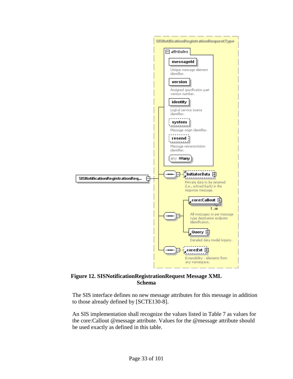

#### <span id="page-32-0"></span>**Figure 12. SISNotificationRegistrationRequest Message XML Schema**

The SIS interface defines no new message attributes for this message in addition to those already defined by [SCTE130-8].

An SIS implementation shall recognize the values listed in [Table 7](#page-33-1) as values for the core:Callout @message attribute. Values for the @message attribute should be used exactly as defined in this table.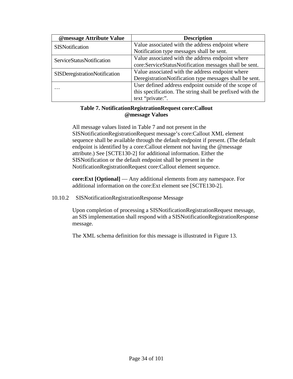| @message Attribute Value             | <b>Description</b>                                        |
|--------------------------------------|-----------------------------------------------------------|
| SISNotification                      | Value associated with the address endpoint where          |
|                                      | Notification type messages shall be sent.                 |
| ServiceStatusNotification            | Value associated with the address endpoint where          |
|                                      | core:ServiceStatusNotification messages shall be sent.    |
| <b>SISDeregistrationNotification</b> | Value associated with the address endpoint where          |
|                                      | DeregistrationNotification type messages shall be sent.   |
| $\cdots$                             | User defined address endpoint outside of the scope of     |
|                                      | this specification. The string shall be prefixed with the |
|                                      | text "private:".                                          |

#### **Table 7. NotificationRegistrationRequest core:Callout @message Values**

<span id="page-33-1"></span>All message values listed in [Table 7](#page-33-1) and not present in the SISNotificationRegistrationRequest message's core:Callout XML element sequence shall be available through the default endpoint if present. (The default endpoint is identified by a core:Callout element not having the @message attribute.) See [SCTE130-2] for additional information. Either the SISNotification or the default endpoint shall be present in the NotificationRegistrationRequest core:Callout element sequence.

**core:Ext [Optional]** — Any additional elements from any namespace. For additional information on the core:Ext element see [SCTE130-2].

#### <span id="page-33-0"></span>10.10.2 SISNotificationRegistrationResponse Message

Upon completion of processing a SISNotificationRegistrationRequest message, an SIS implementation shall respond with a SISNotificationRegistrationResponse message.

The XML schema definition for this message is illustrated in [Figure 13.](#page-34-1)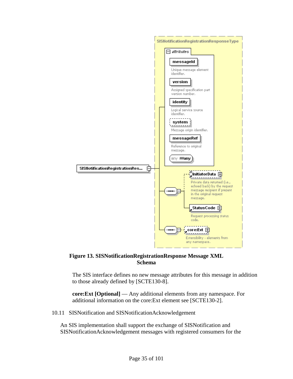

<span id="page-34-1"></span>

The SIS interface defines no new message attributes for this message in addition to those already defined by [SCTE130-8].

**core:Ext [Optional]** — Any additional elements from any namespace. For additional information on the core:Ext element see [SCTE130-2].

<span id="page-34-0"></span>10.11 SISNotification and SISNotificationAcknowledgement

An SIS implementation shall support the exchange of SISNotification and SISNotificationAcknowledgement messages with registered consumers for the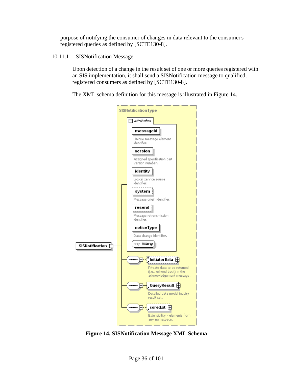purpose of notifying the consumer of changes in data relevant to the consumer's registered queries as defined by [SCTE130-8].

<span id="page-35-0"></span>10.11.1 SISNotification Message

Upon detection of a change in the result set of one or more queries registered with an SIS implementation, it shall send a SISNotification message to qualified, registered consumers as defined by [SCTE130-8].

The XML schema definition for this message is illustrated in [Figure 14.](#page-35-1)



<span id="page-35-1"></span>**Figure 14. SISNotification Message XML Schema**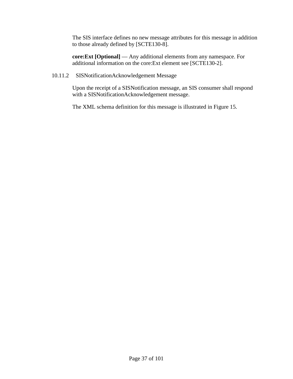The SIS interface defines no new message attributes for this message in addition to those already defined by [SCTE130-8].

**core:Ext [Optional]** — Any additional elements from any namespace. For additional information on the core:Ext element see [SCTE130-2].

## 10.11.2 SISNotificationAcknowledgement Message

Upon the receipt of a SISNotification message, an SIS consumer shall respond with a SISNotificationAcknowledgement message.

The XML schema definition for this message is illustrated in [Figure 15.](#page-37-0)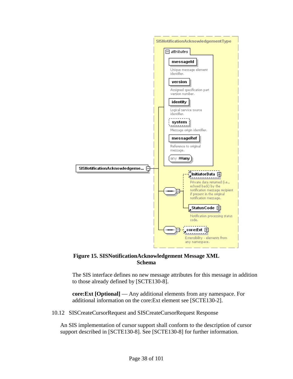

<span id="page-37-0"></span>

The SIS interface defines no new message attributes for this message in addition to those already defined by [SCTE130-8].

**core:Ext [Optional]** — Any additional elements from any namespace. For additional information on the core:Ext element see [SCTE130-2].

10.12 SISCreateCursorRequest and SISCreateCursorRequest Response

An SIS implementation of cursor support shall conform to the description of cursor support described in [SCTE130-8]. See [SCTE130-8] for further information.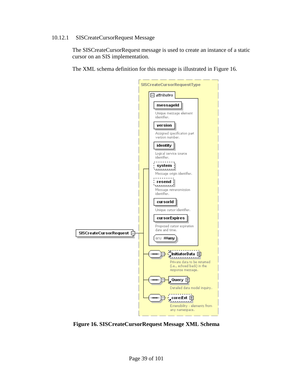#### 10.12.1 SISCreateCursorRequest Message

The SISCreateCursorRequest message is used to create an instance of a static cursor on an SIS implementation.

The XML schema definition for this message is illustrated in [Figure 16.](#page-38-0)



<span id="page-38-0"></span>**Figure 16. SISCreateCursorRequest Message XML Schema**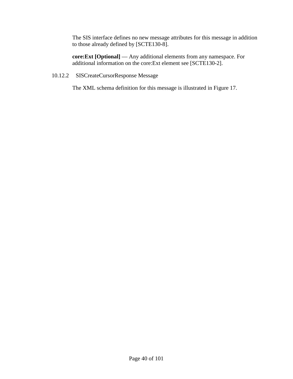The SIS interface defines no new message attributes for this message in addition to those already defined by [SCTE130-8].

**core:Ext [Optional]** — Any additional elements from any namespace. For additional information on the core:Ext element see [SCTE130-2].

10.12.2 SISCreateCursorResponse Message

The XML schema definition for this message is illustrated in [Figure 17.](#page-40-0)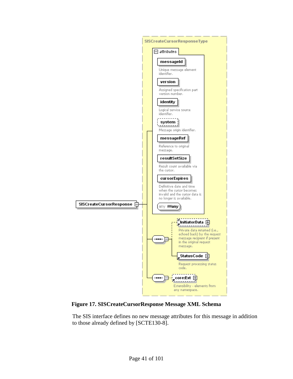

<span id="page-40-0"></span>**Figure 17. SISCreateCursorResponse Message XML Schema**

The SIS interface defines no new message attributes for this message in addition to those already defined by [SCTE130-8].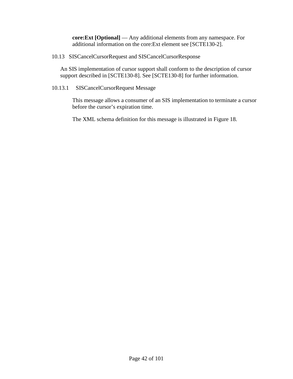**core:Ext [Optional]** — Any additional elements from any namespace. For additional information on the core:Ext element see [SCTE130-2].

10.13 SISCancelCursorRequest and SISCancelCursorResponse

An SIS implementation of cursor support shall conform to the description of cursor support described in [SCTE130-8]. See [SCTE130-8] for further information.

10.13.1 SISCancelCursorRequest Message

This message allows a consumer of an SIS implementation to terminate a cursor before the cursor's expiration time.

The XML schema definition for this message is illustrated in [Figure 18.](#page-42-0)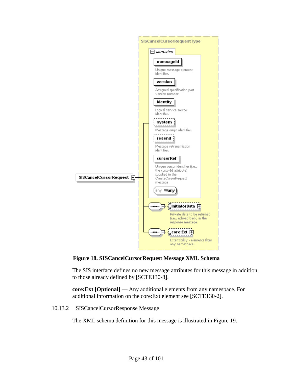

<span id="page-42-0"></span>**Figure 18. SISCancelCursorRequest Message XML Schema**

The SIS interface defines no new message attributes for this message in addition to those already defined by [SCTE130-8].

**core:Ext [Optional]** — Any additional elements from any namespace. For additional information on the core:Ext element see [SCTE130-2].

10.13.2 SISCancelCursorResponse Message

The XML schema definition for this message is illustrated in [Figure 19.](#page-43-0)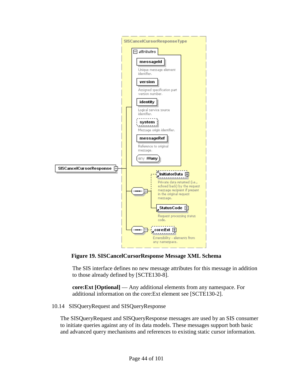

<span id="page-43-0"></span>**Figure 19. SISCancelCursorResponse Message XML Schema**

The SIS interface defines no new message attributes for this message in addition to those already defined by [SCTE130-8].

**core:Ext [Optional]** — Any additional elements from any namespace. For additional information on the core:Ext element see [SCTE130-2].

10.14 SISQueryRequest and SISQueryResponse

The SISQueryRequest and SISQueryResponse messages are used by an SIS consumer to initiate queries against any of its data models. These messages support both basic and advanced query mechanisms and references to existing static cursor information.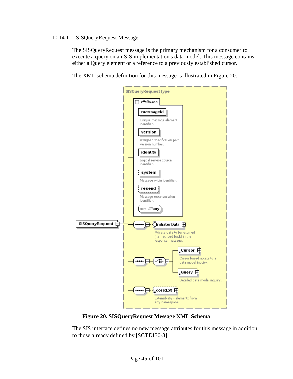### 10.14.1 SISQueryRequest Message

The SISQueryRequest message is the primary mechanism for a consumer to execute a query on an SIS implementation's data model. This message contains either a Query element or a reference to a previously established cursor.

The XML schema definition for this message is illustrated in [Figure 20.](#page-44-0)



**Figure 20. SISQueryRequest Message XML Schema**

<span id="page-44-0"></span>The SIS interface defines no new message attributes for this message in addition to those already defined by [SCTE130-8].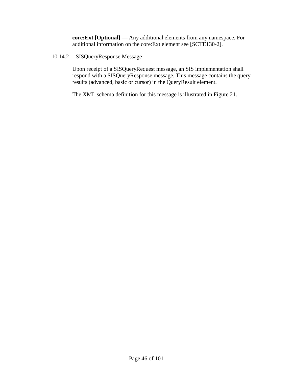**core:Ext [Optional]** — Any additional elements from any namespace. For additional information on the core:Ext element see [SCTE130-2].

10.14.2 SISQueryResponse Message

Upon receipt of a SISQueryRequest message, an SIS implementation shall respond with a SISQueryResponse message. This message contains the query results (advanced, basic or cursor) in the QueryResult element.

The XML schema definition for this message is illustrated in [Figure 21.](#page-46-0)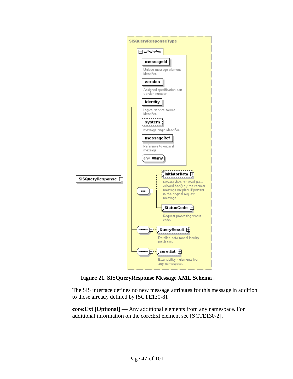

**Figure 21. SISQueryResponse Message XML Schema**

<span id="page-46-0"></span>The SIS interface defines no new message attributes for this message in addition to those already defined by [SCTE130-8].

**core:Ext [Optional]** — Any additional elements from any namespace. For additional information on the core:Ext element see [SCTE130-2].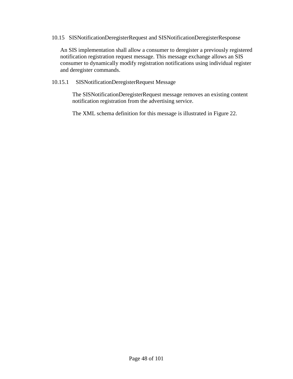#### 10.15 SISNotificationDeregisterRequest and SISNotificationDeregisterResponse

An SIS implementation shall allow a consumer to deregister a previously registered notification registration request message. This message exchange allows an SIS consumer to dynamically modify registration notifications using individual register and deregister commands.

### 10.15.1 SISNotificationDeregisterRequest Message

The SISNotificationDeregisterRequest message removes an existing content notification registration from the advertising service.

The XML schema definition for this message is illustrated in [Figure 22.](#page-48-0)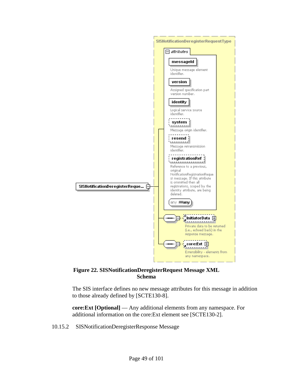

## <span id="page-48-0"></span>**Figure 22. SISNotificationDeregisterRequest Message XML Schema**

The SIS interface defines no new message attributes for this message in addition to those already defined by [SCTE130-8].

**core:Ext [Optional]** — Any additional elements from any namespace. For additional information on the core:Ext element see [SCTE130-2].

10.15.2 SISNotificationDeregisterResponse Message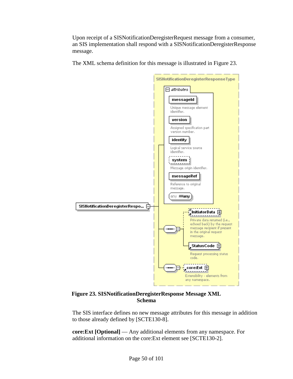Upon receipt of a SISNotificationDeregisterRequest message from a consumer, an SIS implementation shall respond with a SISNotificationDeregisterResponse message.

The XML schema definition for this message is illustrated in [Figure 23.](#page-49-0)



<span id="page-49-0"></span>**Figure 23. SISNotificationDeregisterResponse Message XML Schema**

The SIS interface defines no new message attributes for this message in addition to those already defined by [SCTE130-8].

**core:Ext [Optional]** — Any additional elements from any namespace. For additional information on the core:Ext element see [SCTE130-2].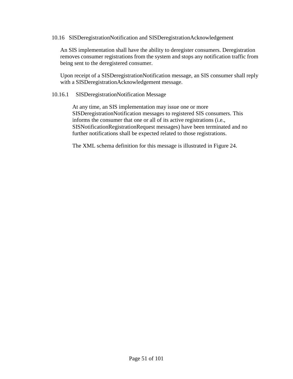#### 10.16 SISDeregistrationNotification and SISDeregistrationAcknowledgement

An SIS implementation shall have the ability to deregister consumers. Deregistration removes consumer registrations from the system and stops any notification traffic from being sent to the deregistered consumer.

Upon receipt of a SISDeregistrationNotification message, an SIS consumer shall reply with a SISDeregistrationAcknowledgement message.

#### 10.16.1 SISDeregistrationNotification Message

At any time, an SIS implementation may issue one or more SISDeregistrationNotification messages to registered SIS consumers. This informs the consumer that one or all of its active registrations (i.e., SISNotificationRegistrationRequest messages) have been terminated and no further notifications shall be expected related to those registrations.

The XML schema definition for this message is illustrated in [Figure 24.](#page-51-0)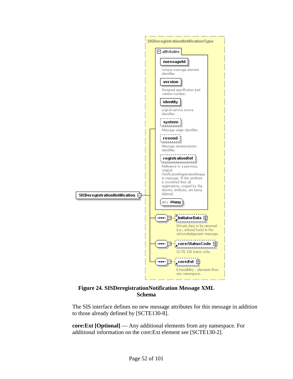

#### **Figure 24. SISDeregistrationNotification Message XML Schema**

<span id="page-51-0"></span>The SIS interface defines no new message attributes for this message in addition to those already defined by [SCTE130-8].

**core:Ext [Optional]** — Any additional elements from any namespace. For additional information on the core:Ext element see [SCTE130-2].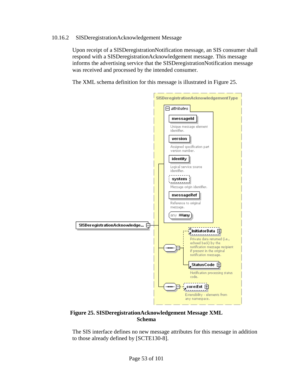#### 10.16.2 SISDeregistrationAcknowledgement Message

Upon receipt of a SISDeregistrationNotification message, an SIS consumer shall respond with a SISDeregistrationAcknowledgement message. This message informs the advertising service that the SISDeregistrationNotification message was received and processed by the intended consumer.

The XML schema definition for this message is illustrated in [Figure 25.](#page-52-0)



#### <span id="page-52-0"></span>**Figure 25. SISDeregistrationAcknowledgement Message XML Schema**

The SIS interface defines no new message attributes for this message in addition to those already defined by [SCTE130-8].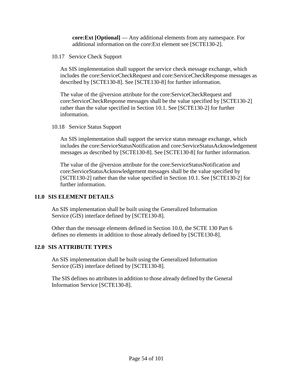**core:Ext [Optional]** — Any additional elements from any namespace. For additional information on the core:Ext element see [SCTE130-2].

10.17 Service Check Support

An SIS implementation shall support the service check message exchange, which includes the core:ServiceCheckRequest and core:ServiceCheckResponse messages as described by [SCTE130-8]. See [SCTE130-8] for further information.

The value of the @version attribute for the core:ServiceCheckRequest and core:ServiceCheckResponse messages shall be the value specified by [SCTE130-2] rather than the value specified in Section [10.1.](#page-16-0) See [SCTE130-2] for further information.

10.18 Service Status Support

An SIS implementation shall support the service status message exchange, which includes the core:ServiceStatusNotification and core:ServiceStatusAcknowledgement messages as described by [SCTE130-8]. See [SCTE130-8] for further information.

The value of the @version attribute for the core:ServiceStatusNotification and core:ServiceStatusAcknowledgement messages shall be the value specified by [SCTE130-2] rather than the value specified in Section [10.1.](#page-16-0) See [SCTE130-2] for further information.

## **11.0 SIS ELEMENT DETAILS**

An SIS implementation shall be built using the Generalized Information Service (GIS) interface defined by [SCTE130-8].

Other than the message elements defined in Section [10.0,](#page-16-1) the SCTE 130 Part 6 defines no elements in addition to those already defined by [SCTE130-8].

# **12.0 SIS ATTRIBUTE TYPES**

An SIS implementation shall be built using the Generalized Information Service (GIS) interface defined by [SCTE130-8].

The SIS defines no attributes in addition to those already defined by the General Information Service [SCTE130-8].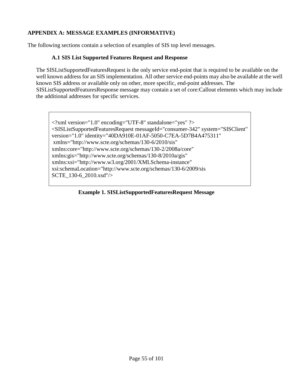# **APPENDIX A: MESSAGE EXAMPLES (INFORMATIVE)**

The following sections contain a selection of examples of SIS top level messages.

# **A.1 SIS List Supported Features Request and Response**

The SISListSupportedFeaturesRequest is the only service end-point that is required to be available on the well known address for an SIS implementation. All other service end-points may also be available at the well known SIS address or available only on other, more specific, end-point addresses. The SISListSupportedFeaturesResponse message may contain a set of core:Callout elements which may include the additional addresses for specific services.

<?xml version="1.0" encoding="UTF-8" standalone="yes" ?> <SISListSupportedFeaturesRequest messageId="consumer-342" system="SISClient" version="1.0" identity="40DA910E-01AF-5050-C7EA-5D7B4A475311" xmlns="http://www.scte.org/schemas/130-6/2010/sis" xmlns:core="http://www.scte.org/schemas/130-2/2008a/core" xmlns:gis="http://www.scte.org/schemas/130-8/2010a/gis" xmlns:xsi="http://www.w3.org/2001/XMLSchema-instance" xsi:schemaLocation="http://www.scte.org/schemas/130-6/2009/sis SCTE\_130-6\_2010.xsd"/>

## **Example 1. SISListSupportedFeaturesRequest Message**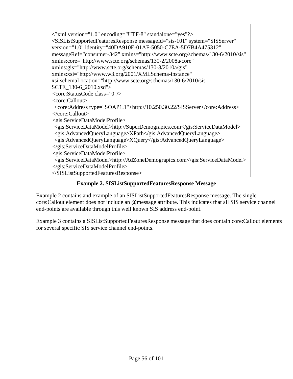$\langle$  2xml version="1.0" encoding="UTF-8" standalone="yes"?> <SISListSupportedFeaturesResponse messageId="sis-101" system="SISServer" version="1.0" identity="40DA910E-01AF-5050-C7EA-5D7B4A475312" messageRef="consumer-342" xmlns="http://www.scte.org/schemas/130-6/2010/sis" xmlns:core="http://www.scte.org/schemas/130-2/2008a/core" xmlns:gis="http://www.scte.org/schemas/130-8/2010a/gis" xmlns:xsi="http://www.w3.org/2001/XMLSchema-instance" xsi:schemaLocation="http://www.scte.org/schemas/130-6/2010/sis SCTE\_130-6\_2010.xsd"> <core:StatusCode class="0"/> <core:Callout> <core:Address type="SOAP1.1">http://10.250.30.22/SISServer</core:Address> </core:Callout> <gis:ServiceDataModelProfile> <gis:ServiceDataModel>http://SuperDemograpics.com</gis:ServiceDataModel> <gis:AdvancedQueryLanguage>XPath</gis:AdvancedQueryLanguage> <gis:AdvancedQueryLanguage>XQuery</gis:AdvancedQueryLanguage> </gis:ServiceDataModelProfile> <gis:ServiceDataModelProfile> <gis:ServiceDataModel>http://AdZoneDemograpics.com</gis:ServiceDataModel> </gis:ServiceDataModelProfile> </SISListSupportedFeaturesResponse>

# **Example 2. SISListSupportedFeaturesResponse Message**

<span id="page-55-0"></span>[Example 2](#page-55-0) contains and example of an SISListSupportedFeaturesResponse message. The single core:Callout element does not include an @message attribute. This indicates that all SIS service channel end-points are available through this well known SIS address end-point.

[Example 3](#page-56-0) contains a SISListSupportedFeaturesResponse message that does contain core:Callout elements for several specific SIS service channel end-points.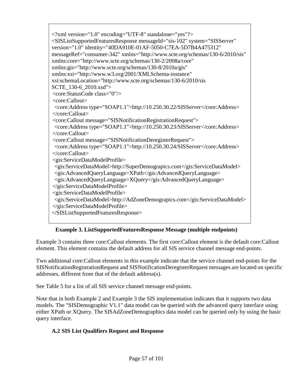<?xml version="1.0" encoding="UTF-8" standalone="yes"?> <SISListSupportedFeaturesResponse messageId="sis-102" system="SISServer" version="1.0" identity="40DA910E-01AF-5050-C7EA-5D7B4A475312" messageRef="consumer-342" xmlns="http://www.scte.org/schemas/130-6/2010/sis" xmlns:core="http://www.scte.org/schemas/130-2/2008a/core" xmlns:gis="http://www.scte.org/schemas/130-8/2010a/gis" xmlns:xsi="http://www.w3.org/2001/XMLSchema-instance" xsi:schemaLocation="http://www.scte.org/schemas/130-6/2010/sis SCTE\_130-6\_2010.xsd"> <core:StatusCode class="0"/> <core:Callout> <core:Address type="SOAP1.1">http://10.250.30.22/SISServer</core:Address> </core:Callout> <core:Callout message="SISNotificationRegistrationRequest"> <core:Address type="SOAP1.1">http://10.250.30.23/SISServer</core:Address> </core:Callout> <core:Callout message="SISNotificationDeregisterRequest"> <core:Address type="SOAP1.1">http://10.250.30.24/SISServer</core:Address> </core:Callout> <gis:ServiceDataModelProfile> <gis:ServiceDataModel>http://SuperDemograpics.com</gis:ServiceDataModel> <gis:AdvancedQueryLanguage>XPath</gis:AdvancedQueryLanguage> <gis:AdvancedQueryLanguage>XQuery</gis:AdvancedQueryLanguage> </gis:ServiceDataModelProfile> <gis:ServiceDataModelProfile> <gis:ServiceDataModel>http://AdZoneDemograpics.com</gis:ServiceDataModel> </gis:ServiceDataModelProfile> </SISListSupportedFeaturesResponse>

# **Example 3. ListSupportedFeaturesResponse Message (multiple endpoints)**

<span id="page-56-0"></span>[Example 3](#page-56-0) contains three core:Callout elements. The first core:Callout element is the default core:Callout element. This element contains the default address for all SIS service channel message end-points.

Two additional core:Callout elements in this example indicate that the service channel end-points for the SISNotificationRegistrationRequest and SISNotificationDeregisterRequest messages are located on specific addresses, different from that of the default address(s).

See [Table 5](#page-21-0) for a list of all SIS service channel message end-points.

Note that in both [Example 2](#page-55-0) and [Example 3](#page-56-0) the SIS implementation indicates that it supports two data models. The "SISDemographic V1.1" data model can be queried with the advanced query interface using either XPath or XQuery. The SISAdZoneDemographics data model can be queried only by using the basic query interface.

# **A.2 SIS List Qualifiers Request and Response**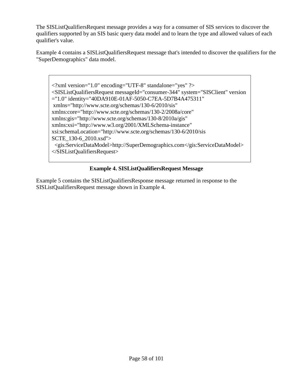The SISListQualifiersRequest message provides a way for a consumer of SIS services to discover the qualifiers supported by an SIS basic query data model and to learn the type and allowed values of each qualifier's value.

[Example 4](#page-57-0) contains a SISListQualifiersRequest message that's intended to discover the qualifiers for the "SuperDemographics" data model.

<?xml version="1.0" encoding="UTF-8" standalone="yes" ?> <SISListQualifiersRequest messageId="consumer-344" system="SISClient" version ="1.0" identity="40DA910E-01AF-5050-C7EA-5D7B4A475311" xmlns="http://www.scte.org/schemas/130-6/2010/sis" xmlns:core="http://www.scte.org/schemas/130-2/2008a/core" xmlns:gis="http://www.scte.org/schemas/130-8/2010a/gis" xmlns:xsi="http://www.w3.org/2001/XMLSchema-instance" xsi:schemaLocation="http://www.scte.org/schemas/130-6/2010/sis SCTE\_130-6\_2010.xsd"> <gis:ServiceDataModel>http://SuperDemographics.com</gis:ServiceDataModel> </SISListQualifiersRequest>

# **Example 4. SISListQualifiersRequest Message**

<span id="page-57-0"></span>[Example 5](#page-58-0) contains the SISListQualifiersResponse message returned in response to the SISListQualifiersRequest message shown in [Example 4.](#page-57-0)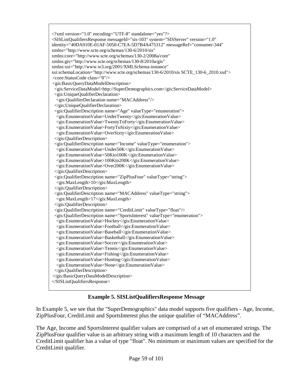```
<?xml version="1.0" encoding="UTF-8" standalone="yes"?>
<SISListQualifiersResponse messageId="sis-103" system="SISServer" version="1.0" 
identity="40DA910E-01AF-5050-C7EA-5D7B4A475312" messageRef="consumer-344" 
xmlns="http://www.scte.org/schemas/130-6/2010/sis" 
xmlns:core="http://www.scte.org/schemas/130-2/2008a/core" 
xmlns:gis="http://www.scte.org/schemas/130-8/2010a/gis" 
xmlns:xsi="http://www.w3.org/2001/XMLSchema-instance" 
xsi:schemaLocation="http://www.scte.org/schemas/130-6/2010/sis SCTE_130-6_2010.xsd">
<core:StatusCode class="0"/>
<gis:BasicQueryDataModelDescription>
 <gis:ServiceDataModel>http://SuperDemographics.com</gis:ServiceDataModel>
 <gis:UniqueQualifierDeclaration>
  <gis:QualifierDeclaration name="MACAddress"/>
 </gis:UniqueQualifierDeclaration>
 <gis:QualifierDescription name="Age" valueType="enumeration">
  <gis:EnumerationValue>UnderTwenty</gis:EnumerationValue>
  <gis:EnumerationValue>TwentyToForty</gis:EnumerationValue>
  <gis:EnumerationValue>FortyToSixty</gis:EnumerationValue>
  <gis:EnumerationValue>OverSixty</gis:EnumerationValue>
 </gis:QualifierDescription>
 <gis:QualifierDescription name="Income" valueType="enumeration">
  <gis:EnumerationValue>Under50K</gis:EnumerationValue>
  <gis:EnumerationValue>50Kto100K</gis:EnumerationValue>
  <gis:EnumerationValue>100Kto200K</gis:EnumerationValue>
  <gis:EnumerationValue>Over200K</gis:EnumerationValue>
 </gis:QualifierDescription>
 <gis:QualifierDescription name="ZipPlusFour" valueType="string">
  <gis:MaxLength>10</gis:MaxLength>
 </gis:QualifierDescription>
 <gis:QualifierDescription name="MACAddress" valueType="string">
  <gis:MaxLength>17</gis:MaxLength>
 </gis:QualifierDescription>
 <gis:QualifierDescription name="CreditLimit" valueType="float"/>
 <gis:QualifierDescription name="SportsInterest" valueType="enumeration">
  <gis:EnumerationValue>Hockey</gis:EnumerationValue>
  <gis:EnumerationValue>Football</gis:EnumerationValue>
  <gis:EnumerationValue>Baseball</gis:EnumerationValue>
  <gis:EnumerationValue>Basketball</gis:EnumerationValue>
  <gis:EnumerationValue>Soccer</gis:EnumerationValue>
  <gis:EnumerationValue>Tennis</gis:EnumerationValue>
  <gis:EnumerationValue>Fishing</gis:EnumerationValue>
  <gis:EnumerationValue>Hunting</gis:EnumerationValue>
  <gis:EnumerationValue>None</gis:EnumerationValue>
 </gis:QualifierDescription>
</gis:BasicQueryDataModelDescription>
</SISListQualifiersResponse>
```
## **Example 5. SISListQualifiersResponse Message**

<span id="page-58-0"></span>In [Example 5,](#page-58-0) we see that the "SuperDemographics" data model supports five qualifiers - Age, Income, ZipPlusFour, CreditLimit and SportsInterest plus the unique qualifier of "MACAddress".

The Age, Income and SportsInterest qualifier values are comprised of a set of enumerated strings. The ZipPlusFour qualifier value is an arbitrary string with a maximum length of 10 characters and the CreditLimit qualifier has a value of type "float". No minimum or maximum values are specified for the CreditLimit qualifier.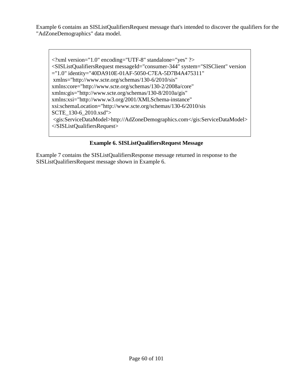Example 6 contains an SISListQualifiersRequest message that's intended to discover the qualifiers for the "AdZoneDemographics" data model.

 $\langle$  2xml version="1.0" encoding="UTF-8" standalone="yes" ?> <SISListQualifiersRequest messageId="consumer-344" system="SISClient" version ="1.0" identity="40DA910E-01AF-5050-C7EA-5D7B4A475311" xmlns="http://www.scte.org/schemas/130-6/2010/sis" xmlns:core="http://www.scte.org/schemas/130-2/2008a/core" xmlns:gis="http://www.scte.org/schemas/130-8/2010a/gis" xmlns:xsi="http://www.w3.org/2001/XMLSchema-instance" xsi:schemaLocation="http://www.scte.org/schemas/130-6/2010/sis SCTE\_130-6\_2010.xsd"> <gis:ServiceDataModel>http://AdZoneDemographics.com</gis:ServiceDataModel> </SISListQualifiersRequest>

## **Example 6. SISListQualifiersRequest Message**

Example 7 contains the SISListQualifiersResponse message returned in response to the SISListQualifiersRequest message shown in Example 6.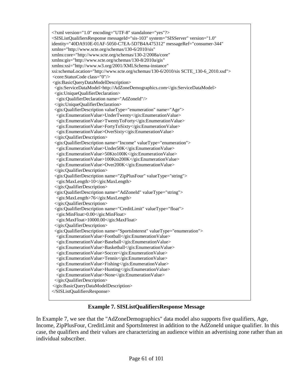```
<?xml version="1.0" encoding="UTF-8" standalone="yes"?>
<SISListQualifiersResponse messageId="sis-103" system="SISServer" version="1.0" 
identity="40DA910E-01AF-5050-C7EA-5D7B4A475312" messageRef="consumer-344" 
xmlns="http://www.scte.org/schemas/130-6/2010/sis" 
xmlns:core="http://www.scte.org/schemas/130-2/2008a/core" 
xmlns:gis="http://www.scte.org/schemas/130-8/2010a/gis" 
xmlns:xsi="http://www.w3.org/2001/XMLSchema-instance" 
xsi:schemaLocation="http://www.scte.org/schemas/130-6/2010/sis SCTE_130-6_2010.xsd">
<core:StatusCode class="0"/>
<gis:BasicQueryDataModelDescription>
 <gis:ServiceDataModel>http://AdZoneDemographics.com</gis:ServiceDataModel>
 <gis:UniqueQualifierDeclaration>
  <gis:QualifierDeclaration name="AdZoneId"/>
 </gis:UniqueQualifierDeclaration>
 <gis:QualifierDescription valueType="enumeration" name="Age">
  <gis:EnumerationValue>UnderTwenty</gis:EnumerationValue>
  <gis:EnumerationValue>TwentyToForty</gis:EnumerationValue>
  <gis:EnumerationValue>FortyToSixty</gis:EnumerationValue>
  <gis:EnumerationValue>OverSixty</gis:EnumerationValue>
 </gis:QualifierDescription>
 <gis:QualifierDescription name="Income" valueType="enumeration">
  <gis:EnumerationValue>Under50K</gis:EnumerationValue>
  <gis:EnumerationValue>50Kto100K</gis:EnumerationValue>
  <gis:EnumerationValue>100Kto200K</gis:EnumerationValue>
  <gis:EnumerationValue>Over200K</gis:EnumerationValue>
 </gis:QualifierDescription>
 <gis:QualifierDescription name="ZipPlusFour" valueType="string">
  <gis:MaxLength>10</gis:MaxLength>
 </gis:QualifierDescription>
 <gis:QualifierDescription name="AdZoneId" valueType="string">
  <gis:MaxLength>76</gis:MaxLength>
 </gis:QualifierDescription>
 <gis:QualifierDescription name="CreditLimit" valueType="float">
  <gis:MinFloat>0.00</gis:MinFloat>
  <gis:MaxFloat>10000.00</gis:MaxFloat>
 </gis:QualifierDescription>
 <gis:QualifierDescription name="SportsInterest" valueType="enumeration">
  <gis:EnumerationValue>Football</gis:EnumerationValue>
  <gis:EnumerationValue>Baseball</gis:EnumerationValue>
  <gis:EnumerationValue>Basketball</gis:EnumerationValue>
  <gis:EnumerationValue>Soccer</gis:EnumerationValue>
  <gis:EnumerationValue>Tennis</gis:EnumerationValue>
  <gis:EnumerationValue>Fishing</gis:EnumerationValue>
  <gis:EnumerationValue>Hunting</gis:EnumerationValue>
  <gis:EnumerationValue>None</gis:EnumerationValue>
 </gis:QualifierDescription>
</gis:BasicQueryDataModelDescription>
</SISListQualifiersResponse>
```
## **Example 7. SISListQualifiersResponse Message**

In Example 7, we see that the "AdZoneDemographics" data model also supports five qualifiers, Age, Income, ZipPlusFour, CreditLimit and SportsInterest in addition to the AdZoneId unique qualifier. In this case, the qualifiers and their values are characterizing an audience within an advertising zone rather than an individual subscriber.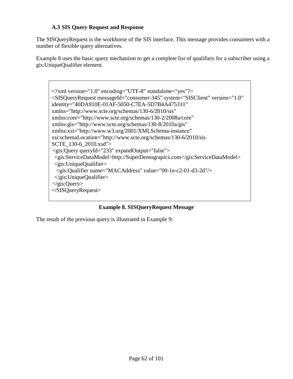## **A.3 SIS Query Request and Response**

The SISQueryRequest is the workhorse of the SIS interface. This message provides consumers with a number of flexible query alternatives.

[Example 8](#page-61-0) uses the basic query mechanism to get a complete list of qualifiers for a subscriber using a gis:UniqueQualifier element.

<?xml version="1.0" encoding="UTF-8" standalone="yes"?> <SISQueryRequest messageId="consumer-345" system="SISClient" version="1.0" identity="40DA910E-01AF-5050-C7EA-5D7B4A475311" xmlns="http://www.scte.org/schemas/130-6/2010/sis" xmlns:core="http://www.scte.org/schemas/130-2/2008a/core" xmlns:gis="http://www.scte.org/schemas/130-8/2010a/gis" xmlns:xsi="http://www.w3.org/2001/XMLSchema-instance" xsi:schemaLocation="http://www.scte.org/schemas/130-6/2010/sis SCTE\_130-6\_2010.xsd"> <gis:Query queryId="233" expandOutput="false"> <gis:ServiceDataModel>http://SuperDemograpics.com</gis:ServiceDataModel> <gis:UniqueQualifier> <gis:Qualifier name="MACAddress" value="00-1e-c2-01-d3-2d"/>  $\langle$ gis:UniqueQualifier> </gis:Query> </SISQueryRequest>

**Example 8. SISQueryRequest Message**

<span id="page-61-0"></span>The result of the previous query is illustrated in [Example 9:](#page-62-0)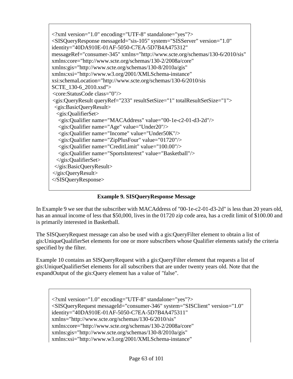<?xml version="1.0" encoding="UTF-8" standalone="yes"?> <SISQueryResponse messageId="sis-105" system="SISServer" version="1.0" identity="40DA910E-01AF-5050-C7EA-5D7B4A475312" messageRef="consumer-345" xmlns="http://www.scte.org/schemas/130-6/2010/sis" xmlns:core="http://www.scte.org/schemas/130-2/2008a/core" xmlns:gis="http://www.scte.org/schemas/130-8/2010a/gis" xmlns:xsi="http://www.w3.org/2001/XMLSchema-instance" xsi:schemaLocation="http://www.scte.org/schemas/130-6/2010/sis SCTE\_130-6\_2010.xsd"> <core:StatusCode class="0"/> <gis:QueryResult queryRef="233" resultSetSize="1" totalResultSetSize="1"> <gis:BasicQueryResult> <gis:QualifierSet> <gis:Qualifier name="MACAddress" value="00-1e-c2-01-d3-2d"/> <gis:Qualifier name="Age" value="Under20"/> <gis:Qualifier name="Income" value="Under50K"/> <gis:Qualifier name="ZipPlusFour" value="01720"/> <gis:Qualifier name="CreditLimit" value="100.00"/> <gis:Qualifier name="SportsInterest" value="Basketball"/> </gis:QualifierSet> </gis:BasicQueryResult> </gis:QueryResult> </SISQueryResponse>

**Example 9. SISQueryResponse Message**

<span id="page-62-0"></span>In [Example 9](#page-62-0) we see that the subscriber with MACAddress of "00-1e-c2-01-d3-2d" is less than 20 years old, has an annual income of less that \$50,000, lives in the 01720 zip code area, has a credit limit of \$100.00 and is primarily interested in Basketball.

The SISQueryRequest message can also be used with a gis:QueryFilter element to obtain a list of gis:UniqueQualifierSet elements for one or more subscribers whose Qualifier elements satisfy the criteria specified by the filter.

[Example 10](#page-63-0) contains an SISQueryRequest with a gis:QueryFilter element that requests a list of gis:UniqueQualifierSet elements for all subscribers that are under twenty years old. Note that the expandOutput of the gis:Query element has a value of "false".

```
<?xml version="1.0" encoding="UTF-8" standalone="yes"?>
<SISQueryRequest messageId="consumer-346" system="SISClient" version="1.0" 
identity="40DA910E-01AF-5050-C7EA-5D7B4A475311" 
xmlns="http://www.scte.org/schemas/130-6/2010/sis" 
xmlns:core="http://www.scte.org/schemas/130-2/2008a/core" 
xmlns:gis="http://www.scte.org/schemas/130-8/2010a/gis" 
xmlns:xsi="http://www.w3.org/2001/XMLSchema-instance"
```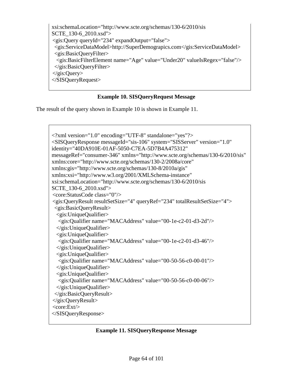xsi:schemaLocation="http://www.scte.org/schemas/130-6/2010/sis SCTE\_130-6\_2010.xsd"> <gis:Query queryId="234" expandOutput="false"> <gis:ServiceDataModel>http://SuperDemograpics.com</gis:ServiceDataModel> <gis:BasicQueryFilter> <gis:BasicFilterElement name="Age" value="Under20" valueIsRegex="false"/> </gis:BasicQueryFilter> </gis:Query> </SISQueryRequest>

## **Example 10. SISQueryRequest Message**

<span id="page-63-0"></span>The result of the query shown in [Example 10](#page-63-0) is shown in [Example 11.](#page-63-1)

```
<?xml version="1.0" encoding="UTF-8" standalone="yes"?>
<SISQueryResponse messageId="sis-106" system="SISServer" version="1.0" 
identity="40DA910E-01AF-5050-C7EA-5D7B4A475312" 
messageRef="consumer-346" xmlns="http://www.scte.org/schemas/130-6/2010/sis" 
xmlns:core="http://www.scte.org/schemas/130-2/2008a/core" 
xmlns:gis="http://www.scte.org/schemas/130-8/2010a/gis" 
xmlns:xsi="http://www.w3.org/2001/XMLSchema-instance" 
xsi:schemaLocation="http://www.scte.org/schemas/130-6/2010/sis 
SCTE_130-6_2010.xsd">
<core:StatusCode class="0"/>
<gis:QueryResult resultSetSize="4" queryRef="234" totalResultSetSize="4">
 <gis:BasicQueryResult>
 <gis:UniqueQualifier>
  <gis:Qualifier name="MACAddress" value="00-1e-c2-01-d3-2d"/>
 \langlegis:UniqueQualifier>
 <gis:UniqueQualifier>
  <gis:Qualifier name="MACAddress" value="00-1e-c2-01-d3-46"/>
 \langlegis:UniqueQualifier>
 <gis:UniqueQualifier>
  <gis:Qualifier name="MACAddress" value="00-50-56-c0-00-01"/>
 </gis:UniqueQualifier>
 <gis:UniqueQualifier>
  <gis:Qualifier name="MACAddress" value="00-50-56-c0-00-06"/>
 </gis:UniqueQualifier>
 </gis:BasicQueryResult>
</gis:QueryResult>
<core:Ext/>
</SISQueryResponse>
```
#### <span id="page-63-1"></span>**Example 11. SISQueryResponse Message**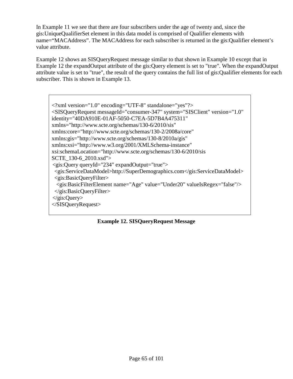In [Example 11](#page-63-1) we see that there are four subscribers under the age of twenty and, since the gis:UniqueQualifierSet element in this data model is comprised of Qualifier elements with name="MACAddress". The MACAddress for each subscriber is returned in the gis:Qualifier element's value attribute.

[Example 12](#page-64-0) shows an SISQueryRequest message similar to that shown in [Example 10](#page-63-0) except that in [Example 12](#page-64-0) the expandOutput attribute of the gis:Query element is set to "true". When the expandOutput attribute value is set to "true", the result of the query contains the full list of gis:Qualifier elements for each subscriber. This is shown in [Example 13.](#page-65-0)

<?xml version="1.0" encoding="UTF-8" standalone="yes"?> <SISQueryRequest messageId="consumer-347" system="SISClient" version="1.0" identity="40DA910E-01AF-5050-C7EA-5D7B4A475311" xmlns="http://www.scte.org/schemas/130-6/2010/sis" xmlns:core="http://www.scte.org/schemas/130-2/2008a/core" xmlns:gis="http://www.scte.org/schemas/130-8/2010a/gis" xmlns:xsi="http://www.w3.org/2001/XMLSchema-instance" xsi:schemaLocation="http://www.scte.org/schemas/130-6/2010/sis SCTE\_130-6\_2010.xsd"> <gis:Query queryId="234" expandOutput="true"> <gis:ServiceDataModel>http://SuperDemographics.com</gis:ServiceDataModel> <gis:BasicQueryFilter> <gis:BasicFilterElement name="Age" value="Under20" valueIsRegex="false"/> </gis:BasicQueryFilter> </gis:Query> </SISQueryRequest>

<span id="page-64-0"></span>**Example 12. SISQueryRequest Message**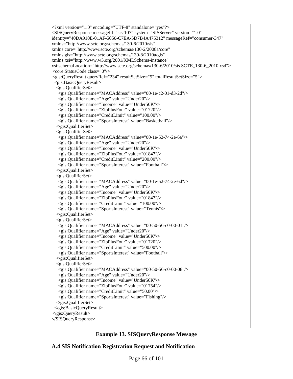<?xml version="1.0" encoding="UTF-8" standalone="yes"?> <SISQueryResponse messageId="sis-107" system="SISServer" version="1.0" identity="40DA910E-01AF-5050-C7EA-5D7B4A475312" messageRef="consumer-347" xmlns="http://www.scte.org/schemas/130-6/2010/sis" xmlns:core="http://www.scte.org/schemas/130-2/2008a/core" xmlns:gis="http://www.scte.org/schemas/130-8/2010a/gis" xmlns:xsi="http://www.w3.org/2001/XMLSchema-instance" xsi:schemaLocation="http://www.scte.org/schemas/130-6/2010/sis SCTE\_130-6\_2010.xsd"> <core:StatusCode class="0"/> <gis:QueryResult queryRef="234" resultSetSize="5" totalResultSetSize="5"> <gis:BasicQueryResult> <gis:QualifierSet> <gis:Qualifier name="MACAddress" value="00-1e-c2-01-d3-2d"/> <gis:Qualifier name="Age" value="Under20"/> <gis:Qualifier name="Income" value="Under50K"/> <gis:Qualifier name="ZipPlusFour" value="01720"/> <gis:Qualifier name="CreditLimit" value="100.00"/> <gis:Qualifier name="SportsInterest" value="Basketball"/> </gis:QualifierSet> <gis:QualifierSet> <gis:Qualifier name="MACAddress" value="00-1e-52-74-2e-6a"/> <gis:Qualifier name="Age" value="Under20"/> <gis:Qualifier name="Income" value="Under50K"/> <gis:Qualifier name="ZipPlusFour" value="01847"/> <gis:Qualifier name="CreditLimit" value="200.00"/> <gis:Qualifier name="SportsInterest" value="Football"/> </gis:QualifierSet> <gis:QualifierSet> <gis:Qualifier name="MACAddress" value="00-1e-52-74-2e-6d"/> <gis:Qualifier name="Age" value="Under20"/> <gis:Qualifier name="Income" value="Under50K"/> <gis:Qualifier name="ZipPlusFour" value="01847"/> <gis:Qualifier name="CreditLimit" value="100.00"/> <gis:Qualifier name="SportsInterest" value="Tennis"/> </gis:QualifierSet> <gis:QualifierSet> <gis:Qualifier name="MACAddress" value="00-50-56-c0-00-01"/> <gis:Qualifier name="Age" value="Under20"/> <gis:Qualifier name="Income" value="Under50K"/> <gis:Qualifier name="ZipPlusFour" value="01720"/> <gis:Qualifier name="CreditLimit" value="500.00"/> <gis:Qualifier name="SportsInterest" value="Football"/> </gis:QualifierSet> <gis:QualifierSet> <gis:Qualifier name="MACAddress" value="00-50-56-c0-00-08"/> <gis:Qualifier name="Age" value="Under20"/> <gis:Qualifier name="Income" value="Under50K"/> <gis:Qualifier name="ZipPlusFour" value="01754"/> <gis:Qualifier name="CreditLimit" value="50.00"/> <gis:Qualifier name="SportsInterest" value="Fishing"/> </gis:QualifierSet> </gis:BasicQueryResult> </gis:QueryResult> </SISQueryResponse>

| <b>Example 13. SISQueryResponse Message</b> |
|---------------------------------------------|
|---------------------------------------------|

<span id="page-65-0"></span>**A.4 SIS Notification Registration Request and Notification**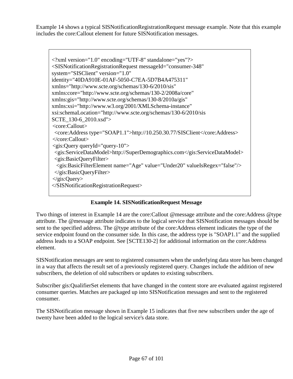[Example 14](#page-66-0) shows a typical SISNotificationRegistrationRequest message example. Note that this example includes the core:Callout element for future SISNotification messages.



# **Example 14. SISNotificationRequest Message**

<span id="page-66-0"></span>Two things of interest in [Example 14](#page-66-0) are the core:Callout @message attribute and the core:Address @type attribute. The @message attribute indicates to the logical service that SISNotification messages should be sent to the specified address. The @type attribute of the core:Address element indicates the type of the service endpoint found on the consumer side. In this case, the address type is "SOAP1.1" and the supplied address leads to a SOAP endpoint. See [SCTE130-2] for additional information on the core:Address element.

SISNotification messages are sent to registered consumers when the underlying data store has been changed in a way that affects the result set of a previously registered query. Changes include the addition of new subscribers, the deletion of old subscribers or updates to existing subscribers.

Subscriber gis:QualifierSet elements that have changed in the content store are evaluated against registered consumer queries. Matches are packaged up into SISNotification messages and sent to the registered consumer.

The SISNotification message shown in [Example 15](#page-67-0) indicates that five new subscribers under the age of twenty have been added to the logical service's data store.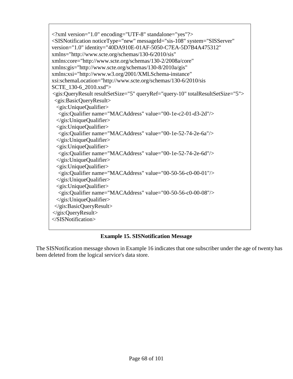$\langle$  2xml version="1.0" encoding="UTF-8" standalone="yes"?> <SISNotification noticeType="new" messageId="sis-108" system="SISServer" version="1.0" identity="40DA910E-01AF-5050-C7EA-5D7B4A475312" xmlns="http://www.scte.org/schemas/130-6/2010/sis" xmlns:core="http://www.scte.org/schemas/130-2/2008a/core" xmlns:gis="http://www.scte.org/schemas/130-8/2010a/gis" xmlns:xsi="http://www.w3.org/2001/XMLSchema-instance" xsi:schemaLocation="http://www.scte.org/schemas/130-6/2010/sis SCTE\_130-6\_2010.xsd"> <gis:QueryResult resultSetSize="5" queryRef="query-10" totalResultSetSize="5"> <gis:BasicQueryResult> <gis:UniqueQualifier> <gis:Qualifier name="MACAddress" value="00-1e-c2-01-d3-2d"/> </gis:UniqueQualifier> <gis:UniqueQualifier> <gis:Qualifier name="MACAddress" value="00-1e-52-74-2e-6a"/> </gis:UniqueQualifier> <gis:UniqueQualifier> <gis:Qualifier name="MACAddress" value="00-1e-52-74-2e-6d"/> </gis:UniqueQualifier> <gis:UniqueQualifier> <gis:Qualifier name="MACAddress" value="00-50-56-c0-00-01"/> </gis:UniqueQualifier> <gis:UniqueQualifier> <gis:Qualifier name="MACAddress" value="00-50-56-c0-00-08"/> </gis:UniqueQualifier> </gis:BasicQueryResult> </gis:QueryResult> </SISNotification>

# **Example 15. SISNotification Message**

<span id="page-67-0"></span>The SISNotification message shown in [Example 16](#page-68-0) indicates that one subscriber under the age of twenty has been deleted from the logical service's data store.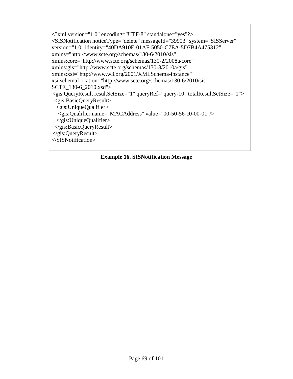<?xml version="1.0" encoding="UTF-8" standalone="yes"?> <SISNotification noticeType="delete" messageId="39903" system="SISServer" version="1.0" identity="40DA910E-01AF-5050-C7EA-5D7B4A475312" xmlns="http://www.scte.org/schemas/130-6/2010/sis" xmlns:core="http://www.scte.org/schemas/130-2/2008a/core" xmlns:gis="http://www.scte.org/schemas/130-8/2010a/gis" xmlns:xsi="http://www.w3.org/2001/XMLSchema-instance" xsi:schemaLocation="http://www.scte.org/schemas/130-6/2010/sis SCTE\_130-6\_2010.xsd"> <gis:QueryResult resultSetSize="1" queryRef="query-10" totalResultSetSize="1"> <gis:BasicQueryResult> <gis:UniqueQualifier> <gis:Qualifier name="MACAddress" value="00-50-56-c0-00-01"/> </gis:UniqueQualifier> </gis:BasicQueryResult> </gis:QueryResult> </SISNotification>

## <span id="page-68-0"></span>**Example 16. SISNotification Message**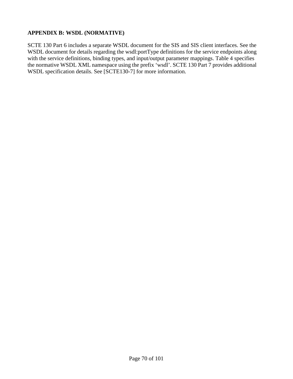## **APPENDIX B: WSDL (NORMATIVE)**

SCTE 130 Part 6 includes a separate WSDL document for the SIS and SIS client interfaces. See the WSDL document for details regarding the wsdl:portType definitions for the service endpoints along with the service definitions, binding types, and input/output parameter mappings. [Table 4](#page-16-2) specifies the normative WSDL XML namespace using the prefix 'wsdl'. SCTE 130 Part 7 provides additional WSDL specification details. See [SCTE130-7] for more information.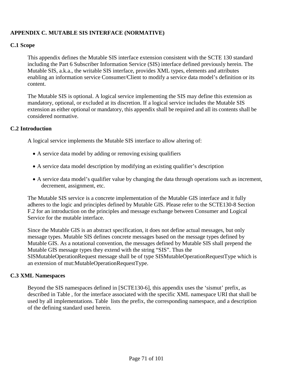# **APPENDIX C. MUTABLE SIS INTERFACE (NORMATIVE)**

### **C.1 Scope**

This appendix defines the Mutable SIS interface extension consistent with the SCTE 130 standard including the Part 6 Subscriber Information Service (SIS) interface defined previously herein. The Mutable SIS, a.k.a., the writable SIS interface, provides XML types, elements and attributes enabling an information service Consumer/Client to modify a service data model's definition or its content.

The Mutable SIS is optional. A logical service implementing the SIS may define this extension as mandatory, optional, or excluded at its discretion. If a logical service includes the Mutable SIS extension as either optional or mandatory, this appendix shall be required and all its contents shall be considered normative.

### **C.2 Introduction**

A logical service implements the Mutable SIS interface to allow altering of:

- A service data model by adding or removing exising qualifiers
- A service data model description by modifying an existing qualifier's description
- A service data model's qualifier value by changing the data through operations such as increment, decrement, assignment, etc.

The Mutable SIS service is a concrete implementation of the Mutable GIS interface and it fully adheres to the logic and principles defined by Mutable GIS. Please refer to the SCTE130-8 Section F.2 for an introduction on the principles and message exchange between Consumer and Logical Service for the mutable interface.

Since the Mutable GIS is an abstract specification, it does not define actual messages, but only message types. Mutable SIS defines concrete messages based on the message types defined by Mutable GIS. As a notational convention, the messages defined by Mutable SIS shall prepend the Mutable GIS message types they extend with the string "SIS". Thus the SISMutableOperationRequest message shall be of type SISMutableOperationRequestType which is an extension of mut:MutableOperationRequestType.

#### **C.3 XML Namespaces**

Beyond the SIS namespaces defined in [SCTE130-6], this appendix uses the 'sismut' prefix, as described in [Table ,](#page-71-0) for the interface associated with the specific XML namespace URI that shall be used by all implementations. [Table](#page-71-0) lists the prefix, the corresponding namespace, and a description of the defining standard used herein.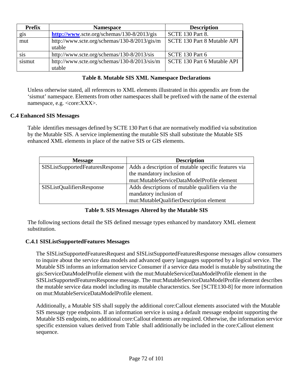| <b>Prefix</b> | <b>Namespace</b>                             | <b>Description</b>          |
|---------------|----------------------------------------------|-----------------------------|
| gis           | http://www.scte.org/schemas/130-8/2013/gis   | <b>SCTE 130 Part 8.</b>     |
| mut           | http://www.scte.org/schemas/130-8/2013/gis/m | SCTE 130 Part 8 Mutable API |
|               | utable                                       |                             |
| <b>Sis</b>    | http://www.scte.org/schemas/130-8/2013/sis   | SCTE 130 Part 6             |
| sismut        | http://www.scte.org/schemas/130-8/2013/sis/m | SCTE 130 Part 6 Mutable API |
|               | utable                                       |                             |

## **Table 8. Mutable SIS XML Namespace Declarations**

<span id="page-71-0"></span>Unless otherwise stated, all references to XML elements illustrated in this appendix are from the 'sismut' namespace. Elements from other namespaces shall be prefixed with the name of the external namespace, e.g. <core:XXX>.

## **C.4 Enhanced SIS Messages**

[Table i](#page-71-1)dentifies messages defined by SCTE 130 Part 6 that are normatively modified via substitution by the Mutable SIS. A service implementing the mutable SIS shall substitute the Mutable SIS enhanced XML elements in place of the native SIS or GIS elements.

| <b>Message</b>                   | <b>Description</b>                                  |
|----------------------------------|-----------------------------------------------------|
| SISListSupportedFeaturesResponse | Adds a description of mutable specific features via |
|                                  | the mandatory inclusion of                          |
|                                  | mut:MutableServiceDataModelProfile element          |
| SISListQualifiersResponse        | Adds descriptions of mutable qualifiers via the     |
|                                  | mandatory inclusion of                              |
|                                  | mut:MutableQualifierDescription element             |

## **Table 9. SIS Messages Altered by the Mutable SIS**

<span id="page-71-1"></span>The following sections detail the SIS defined message types enhanced by mandatory XML element substitution.

## **C.4.1 SISListSupportedFeatures Messages**

The SISListSupportedFeaturesRequest and SISListSupportedFeaturesResponse messages allow consumers to inquire about the service data models and advanced query languages supported by a logical service. The Mutable SIS informs an information service Consumer if a service data model is mutable by substituting the gis:ServiceDataModelProfile element with the mut:MutableServiceDataModelProfile element in the SISListSupportedFeaturesResponse message. The mut:MutableServiceDataModelProfile element describes the mutable service data model including its mutable characterstics. See [SCTE130-8] for more information on mut:MutableServiceDataModelProfile element.

Additionally, a Mutable SIS shall supply the additional core:Callout elements associated with the Mutable SIS message type endpoints. If an information service is using a default message endpoint supporting the Mutable SIS endpoints, no additional core:Callout elements are required. Otherwise, the information service specific extension values derived from [Table](#page-71-0) shall additionally be included in the core:Callout element sequence.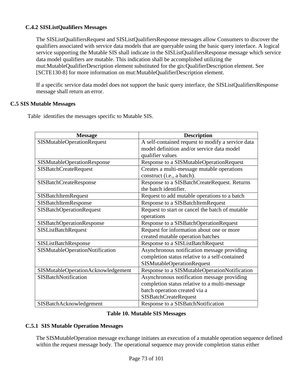# **C.4.2 SISListQualifiers Messages**

The SISListQualifiersRequest and SISListQualifiersResponse messages allow Consumers to discover the qualifiers associated with service data models that are queryable using the basic query interface. A logical service supporting the Mutable SIS shall indicate in the SISListQualifiersResponse message which service data model qualifiers are mutable. This indication shall be accomplished utilizing the mut:MutableQualifierDescription element substituted for the gis:QualifierDescription element. See [SCTE130-8] for more information on mut:MutableQualifierDescription element.

If a specific service data model does not support the basic query interface, the SISListQualifiersResponse message shall return an error.

# **C.5 SIS Mutable Messages**

[Table](#page-72-0) identifies the messages specific to Mutable SIS.

| <b>Message</b>                     | <b>Description</b>                                |  |  |
|------------------------------------|---------------------------------------------------|--|--|
| <b>SISMutableOperationRequest</b>  | A self-contained request to modify a service data |  |  |
|                                    | model definition and/or service data model        |  |  |
|                                    | qualifier values                                  |  |  |
| <b>SISMutableOperationResponse</b> | Response to a SISMutableOperationRequest          |  |  |
| <b>SISBatchCreateRequest</b>       | Creates a multi-message mutable operations        |  |  |
|                                    | construct (i.e., a batch).                        |  |  |
| <b>SISBatchCreateResponse</b>      | Response to a SISBatchCreateRequest. Returns      |  |  |
|                                    | the batch identifier.                             |  |  |
| SISBatchItemRequest                | Request to add mutable operations to a batch      |  |  |
| SISBatchItemResponse               | <b>Response to a SISBatchItemRequest</b>          |  |  |
| <b>SISBatchOperationRequest</b>    | Request to start or cancel the batch of mutable   |  |  |
|                                    | operations                                        |  |  |
| <b>SISBatchOperationResponse</b>   | Response to a SISBatchOperationRequest            |  |  |
| <b>SISListBatchRequest</b>         | Request for information about one or more         |  |  |
|                                    | created mutable operation batches                 |  |  |
| SISListBatchResponse               | Response to a SISListBatchRequest                 |  |  |
| SISMutableOperationNotification    | Asynchronous notification message providing       |  |  |
|                                    | completion status relative to a self-contained    |  |  |
|                                    | <b>SISMutableOperationRequest</b>                 |  |  |
| SISMutableOperationAcknowledgement | Response to a SISMutableOperationNotification     |  |  |
| SISBatchNotification               | Asynchronous notification message providing       |  |  |
|                                    | completion status relative to a multi-message     |  |  |
|                                    | batch operation created via a                     |  |  |
|                                    | <b>SISBatchCreateRequest</b>                      |  |  |
| SISBatchAcknowledgement            | Response to a SISBatchNotification                |  |  |

# **Table 10. Mutable SIS Messages**

# <span id="page-72-0"></span>**C.5.1 SIS Mutable Operation Messages**

The SISMutableOperation message exchange initiates an execution of a mutable operation sequence defined within the request message body. The operational sequence may provide completion status either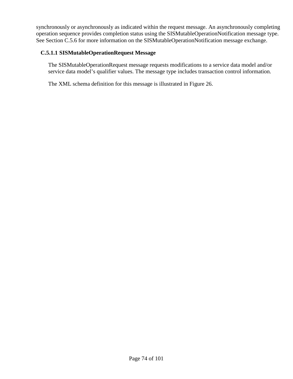synchronously or asynchronously as indicated within the request message. An asynchronously completing operation sequence provides completion status using the SISMutableOperationNotification message type. See Section [C.5.6](#page-88-0) for more information on the SISMutableOperationNotification message exchange.

# **C.5.1.1 SISMutableOperationRequest Message**

The SISMutableOperationRequest message requests modifications to a service data model and/or service data model's qualifier values. The message type includes transaction control information.

The XML schema definition for this message is illustrated in [Figure 2](#page-74-0)6.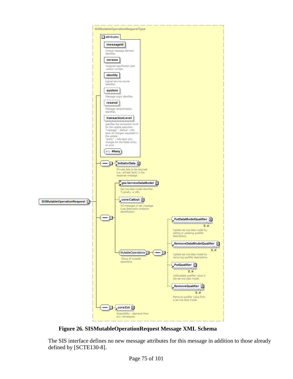

<span id="page-74-0"></span>**Figure 26. SISMutableOperationRequest Message XML Schema**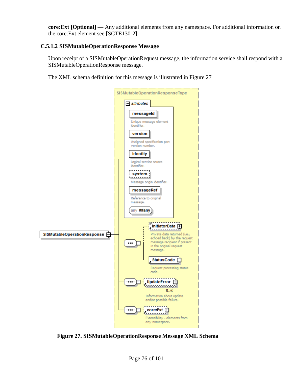**core:Ext [Optional]** — Any additional elements from any namespace. For additional information on the core:Ext element see [SCTE130-2].

# **C.5.1.2 SISMutableOperationResponse Message**

Upon receipt of a SISMutableOperationRequest message, the information service shall respond with a SISMutableOperationResponse message.

The XML schema definition for this message is illustrated in [Figure 27](#page-75-0)

|                                      | SISMutableOperationResponseType                                                        |  |
|--------------------------------------|----------------------------------------------------------------------------------------|--|
|                                      | $=$ attributes                                                                         |  |
|                                      | messageId                                                                              |  |
|                                      | Unique message element<br>identifier.                                                  |  |
|                                      | version                                                                                |  |
|                                      | Assigned specification part<br>version number.                                         |  |
|                                      | identity                                                                               |  |
|                                      | Logical service source<br>identifier.                                                  |  |
|                                      | system                                                                                 |  |
|                                      | . <u>.</u><br>Message origin identifier.                                               |  |
|                                      | messageRef                                                                             |  |
|                                      | Reference to original<br>message.                                                      |  |
|                                      | any ##any                                                                              |  |
|                                      | InitiatorData <b>F</b>                                                                 |  |
| SISMutableOperationResponse <b>E</b> | Private data returned (i.e.,                                                           |  |
|                                      | echoed back) by the request<br>message recipient if present<br>in the original request |  |
|                                      | message.                                                                               |  |
|                                      | StatusCode 中                                                                           |  |
|                                      | Request processing status<br>code.                                                     |  |
|                                      | UpdateError <b>h</b><br><u>daanaanaay</u> d                                            |  |
|                                      | $0\infty$                                                                              |  |
|                                      | Information about update<br>and/or possible failure.                                   |  |
|                                      | core:Ext $\boxplus$                                                                    |  |
|                                      | Extensibility - elements from<br>any namespace.                                        |  |
|                                      |                                                                                        |  |

<span id="page-75-0"></span>**Figure 27. SISMutableOperationResponse Message XML Schema**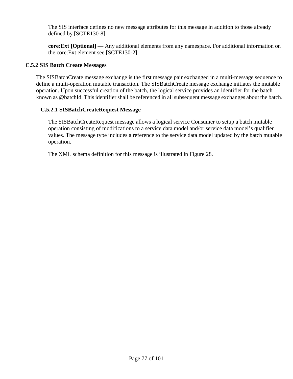**core:Ext [Optional]** — Any additional elements from any namespace. For additional information on the core:Ext element see [SCTE130-2].

# **C.5.2 SIS Batch Create Messages**

The SISBatchCreate message exchange is the first message pair exchanged in a multi-message sequence to define a multi-operation mutable transaction. The SISBatchCreate message exchange initiates the mutable operation. Upon successful creation of the batch, the logical service provides an identifier for the batch known as @batchId. This identifier shall be referenced in all subsequent message exchanges about the batch.

### **C.5.2.1 SISBatchCreateRequest Message**

The SISBatchCreateRequest message allows a logical service Consumer to setup a batch mutable operation consisting of modifications to a service data model and/or service data model's qualifier values. The message type includes a reference to the service data model updated by the batch mutable operation.

The XML schema definition for this message is illustrated in [Figure 28.](#page-77-0)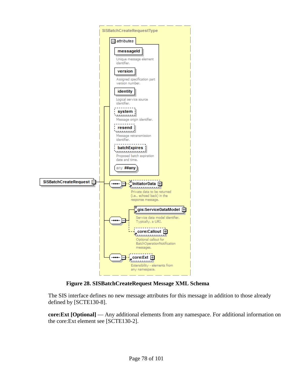

# **Figure 28. SISBatchCreateRequest Message XML Schema**

<span id="page-77-0"></span>The SIS interface defines no new message attributes for this message in addition to those already defined by [SCTE130-8].

**core:Ext [Optional]** — Any additional elements from any namespace. For additional information on the core:Ext element see [SCTE130-2].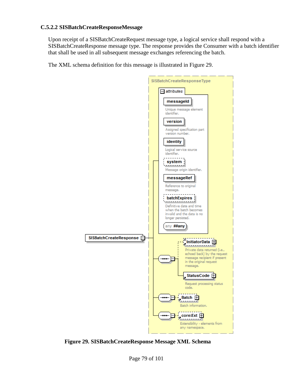## **C.5.2.2 SISBatchCreateResponseMessage**

Upon receipt of a SISBatchCreateRequest message type, a logical service shall respond with a SISBatchCreateResponse message type. The response provides the Consumer with a batch identifier that shall be used in all subsequent message exchanges referencing the batch.

The XML schema definition for this message is illustrated in [Figure 29.](#page-78-0)



<span id="page-78-0"></span>**Figure 29. SISBatchCreateResponse Message XML Schema**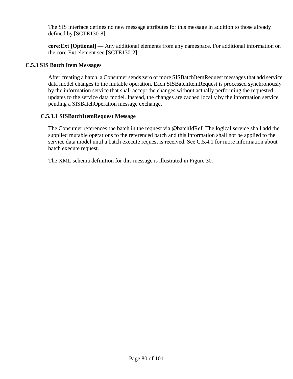**core:Ext [Optional]** — Any additional elements from any namespace. For additional information on the core:Ext element see [SCTE130-2].

### **C.5.3 SIS Batch Item Messages**

After creating a batch, a Consumer sends zero or more SISBatchItemRequest messages that add service data model changes to the mutable operation. Each SISBatchItemRequest is processed synchronously by the information service that shall accept the changes without actually performing the requested updates to the service data model. Instead, the changes are cached locally by the information service pending a SISBatchOperation message exchange.

### **C.5.3.1 SISBatchItemRequest Message**

The Consumer references the batch in the request via @batchIdRef. The logical service shall add the supplied mutable operations to the referenced batch and this information shall not be applied to the service data model until a batch execute request is received. See [C.5.4.1](#page-82-0) for more information about batch execute request.

The XML schema definition for this message is illustrated in [Figure](#page-80-0) 30.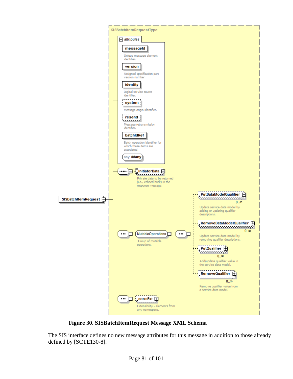

<span id="page-80-0"></span>**Figure 30. SISBatchItemRequest Message XML Schema**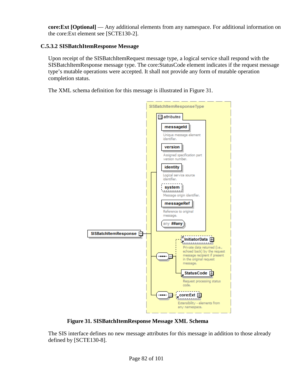**core:Ext [Optional]** — Any additional elements from any namespace. For additional information on the core:Ext element see [SCTE130-2].

# **C.5.3.2 SISBatchItemResponse Message**

Upon receipt of the SISBatchItemRequest message type, a logical service shall respond with the SISBatchItemResponse message type. The core:StatusCode element indicates if the request message type's mutable operations were accepted. It shall not provide any form of mutable operation completion status.

The XML schema definition for this message is illustrated in [Figure 3](#page-81-0)1.



**Figure 31. SISBatchItemResponse Message XML Schema**

<span id="page-81-0"></span>The SIS interface defines no new message attributes for this message in addition to those already defined by [SCTE130-8].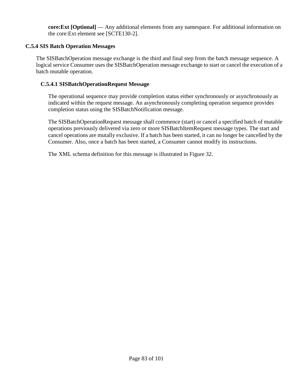**core:Ext [Optional]** — Any additional elements from any namespace. For additional information on the core:Ext element see [SCTE130-2].

# **C.5.4 SIS Batch Operation Messages**

The SISBatchOperation message exchange is the third and final step from the batch message sequence. A logical service Consumer uses the SISBatchOperation message exchange to start or cancel the execution of a batch mutable operation.

# <span id="page-82-0"></span>**C.5.4.1 SISBatchOperationRequest Message**

The operational sequence may provide completion status either synchronously or asynchronously as indicated within the request message. An asynchronously completing operation sequence provides completion status using the SISBatchNotification message.

The SISBatchOperationRequest message shall commence (start) or cancel a specified batch of mutable operations previously delivered via zero or more SISBatchItemRequest message types. The start and cancel operations are mutally exclusive. If a batch has been started, it can no longer be cancelled by the Consumer. Also, once a batch has been started, a Consumer cannot modify its instructions.

The XML schema definition for this message is illustrated in [Figure 32.](#page-83-0)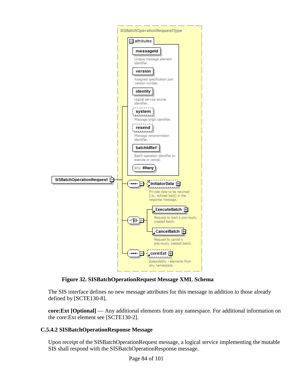

**Figure 32. SISBatchOperationRequest Message XML Schema**

<span id="page-83-0"></span>**core:Ext [Optional]** — Any additional elements from any namespace. For additional information on the core:Ext element see [SCTE130-2].

# **C.5.4.2 SISBatchOperationResponse Message**

Upon receipt of the SISBatchOperationRequest message, a logical service implementing the mutable SIS shall respond with the SISBatchOperationResponse message.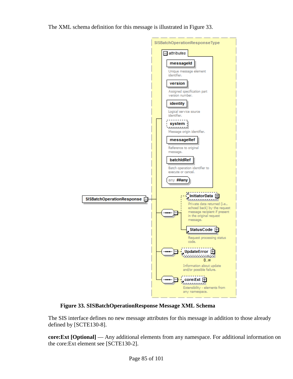The XML schema definition for this message is illustrated in [Figure 33.](#page-84-0)



<span id="page-84-0"></span>**Figure 33. SISBatchOperationResponse Message XML Schema**

**core:Ext [Optional]** — Any additional elements from any namespace. For additional information on the core:Ext element see [SCTE130-2].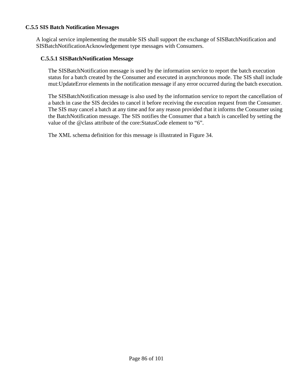## **C.5.5 SIS Batch Notification Messages**

A logical service implementing the mutable SIS shall support the exchange of SISBatchNotification and SISBatchNotificationAcknowledgement type messages with Consumers.

#### **C.5.5.1 SISBatchNotification Message**

The SISBatchNotification message is used by the information service to report the batch execution status for a batch created by the Consumer and executed in asynchronous mode. The SIS shall include mut:UpdateError elements in the notification message if any error occurred during the batch execution.

The SISBatchNotification message is also used by the information service to report the cancellation of a batch in case the SIS decides to cancel it before receiving the execution request from the Consumer. The SIS may cancel a batch at any time and for any reason provided that it informs the Consumer using the BatchNotification message. The SIS notifies the Consumer that a batch is cancelled by setting the value of the @class attribute of the core:StatusCode element to "6".

The XML schema definition for this message is illustrated in [Figure 34.](#page-86-0)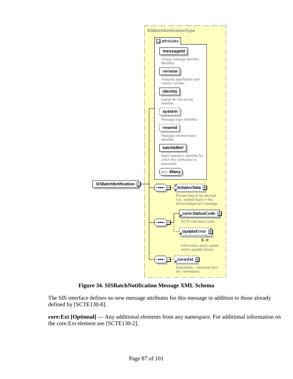

**Figure 34. SISBatchNotification Message XML Schema**

<span id="page-86-0"></span>**core:Ext [Optional]** — Any additional elements from any namespace. For additional information on the core:Ext element see [SCTE130-2].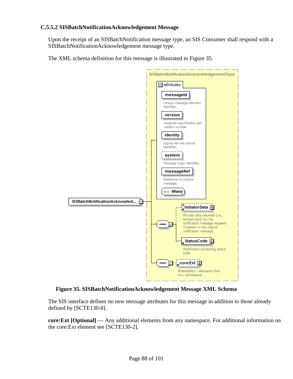## **C.5.5.2 SISBatchNotificationAcknowledgement Message**

Upon the receipt of an SISBatchNotification message type, an SIS Consumer shall respond with a SISBatchNotificationAcknowledgement message type.

The XML schema definition for this message is illustrated in Figure 35.



**Figure 35. SISBatchNotificationAcknowledgement Message XML Schema**

The SIS interface defines no new message attributes for this message in addition to those already defined by [SCTE130-8].

**core:Ext [Optional]** — Any additional elements from any namespace. For additional information on the core:Ext element see [SCTE130-2].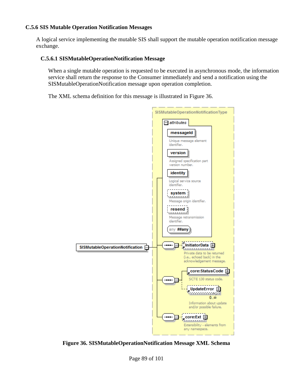# <span id="page-88-0"></span>**C.5.6 SIS Mutable Operation Notification Messages**

A logical service implementing the mutable SIS shall support the mutable operation notification message exchange.

# **C.5.6.1 SISMutableOperationNotification Message**

When a single mutable operation is requested to be executed in asynchronous mode, the information service shall return the response to the Consumer immediately and send a notification using the SISMutableOperationNotification message upon operation completion.

The XML schema definition for this message is illustrated in [Figure 36.](#page-88-1)



<span id="page-88-1"></span>**Figure 36. SISMutableOperationNotification Message XML Schema**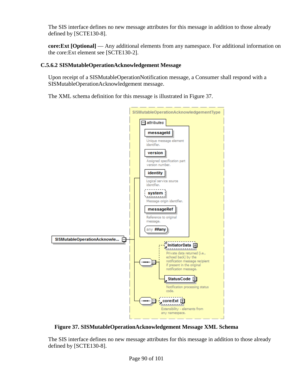**core:Ext [Optional]** — Any additional elements from any namespace. For additional information on the core:Ext element see [SCTE130-2].

# **C.5.6.2 SISMutableOperationAcknowledgement Message**

Upon receipt of a SISMutableOperationNotification message, a Consumer shall respond with a SISMutableOperationAcknowledgement message.

The XML schema definition for this message is illustrated in [Figure](#page-89-0) 37.



**Figure 37. SISMutableOperationAcknowledgement Message XML Schema**

<span id="page-89-0"></span>The SIS interface defines no new message attributes for this message in addition to those already defined by [SCTE130-8].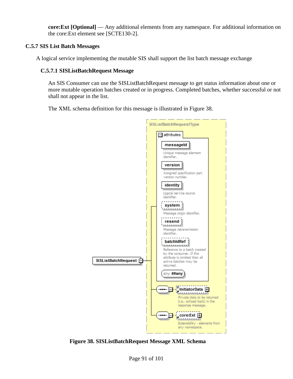**core:Ext [Optional]** — Any additional elements from any namespace. For additional information on the core:Ext element see [SCTE130-2].

# **C.5.7 SIS List Batch Messages**

A logical service implementing the mutable SIS shall support the list batch message exchange

# **C.5.7.1 SISListBatchRequest Message**

An SIS Consumer can use the SISListBatchRequest message to get status information about one or more mutable operation batches created or in progress. Completed batches, whether successful or not shall not appear in the list.

The XML schema definition for this message is illustrated in [Figure 38.](#page-90-0)



<span id="page-90-0"></span>**Figure 38. SISListBatchRequest Message XML Schema**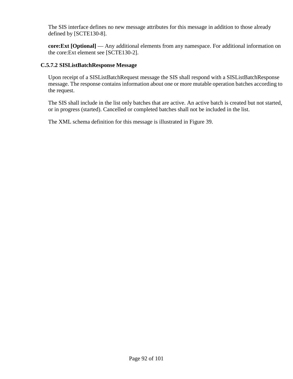**core:Ext [Optional]** — Any additional elements from any namespace. For additional information on the core:Ext element see [SCTE130-2].

## **C.5.7.2 SISListBatchResponse Message**

Upon receipt of a SISListBatchRequest message the SIS shall respond with a SISListBatchResponse message. The response contains information about one or more mutable operation batches according to the request.

The SIS shall include in the list only batches that are active. An active batch is created but not started, or in progress (started). Cancelled or completed batches shall not be included in the list.

The XML schema definition for this message is illustrated in [Figure 39.](#page-92-0)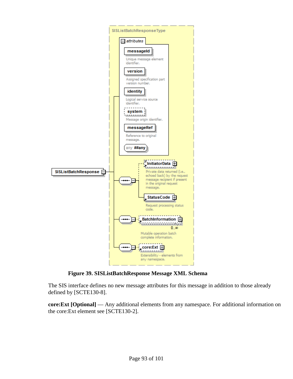

**Figure 39. SISListBatchResponse Message XML Schema**

<span id="page-92-0"></span>**core:Ext [Optional]** — Any additional elements from any namespace. For additional information on the core:Ext element see [SCTE130-2].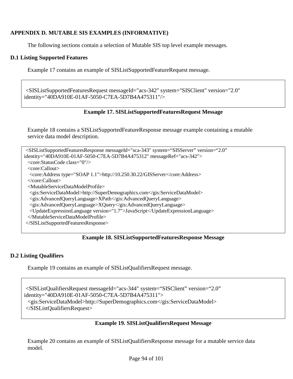# **APPENDIX D. MUTABLE SIS EXAMPLES (INFORMATIVE)**

The following sections contain a selection of Mutable SIS top level example messages.

## **D.1 Listing Supported Features**

[Example 17](#page-93-0) contains an example of SISListSupportedFeatureRequest message.

<span id="page-93-0"></span><SISListSupportedFeaturesRequest messageId="acs-342" system="SISClient" version="2.0" identity="40DA910E-01AF-5050-C7EA-5D7B4A475311"/>

### **Example 17. SISListSupportedFeaturesRequest Message**

[Example 18](#page-93-1) contains a SISListSupportedFeatureResponse message example containing a mutable service data model description.

```
<SISListSupportedFeaturesResponse messageId="sca-343" system="SISServer" version="2.0"
identity="40DA910E-01AF-5050-C7EA-5D7B4A475312" messageRef="acs-342">
 <core:StatusCode class="0"/>
 <core:Callout>
  <core:Address type="SOAP 1.1">http://10.250.30.22/GISServer</core:Address>
 </core:Callout>
 <MutableServiceDataModelProfile>
  <gis:ServiceDataModel>http://SuperDemographics.com</gis:ServiceDataModel>
  <gis:AdvancedQueryLanguage>XPath</gis:AdvancedQueryLanguage>
  <gis:AdvancedQueryLanguage>XQuery</gis:AdvancedQueryLanguage>
  <UpdateExpressionLanguage version="1.7">JavaScript</UpdateExpressionLanguage>
 </MutableServiceDataModelProfile>
</SISListSupportedFeaturesResponse>
```
#### **Example 18. SISListSupportedFeaturesResponse Message**

# <span id="page-93-1"></span>**D.2 Listing Qualifiers**

[Example 19](#page-93-2) contains an example of SISListQualifiersRequest message.

```
<SISListQualifiersRequest messageId="acs-344" system="SISClient" version="2.0" 
identity="40DA910E-01AF-5050-C7EA-5D7B4A475311">
 <gis:ServiceDataModel>http://SuperDemographics.com</gis:ServiceDataModel>
</SISListQualifiersRequest>
```
# **Example 19. SISListQualifiersRequest Message**

<span id="page-93-2"></span>[Example 20](#page-94-0) contains an example of SISListQualifiersResponse message for a mutable service data model.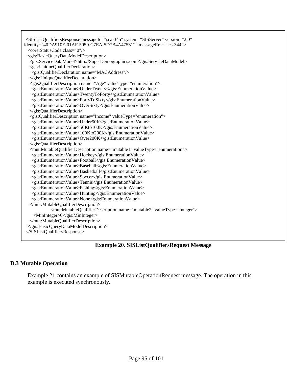<SISListQualifiersResponse messageId="sca-345" system="SISServer" version="2.0" identity="40DA910E-01AF-5050-C7EA-5D7B4A475312" messageRef="acs-344"> <core:StatusCode class="0"/> <gis:BasicQueryDataModelDescription> <gis:ServiceDataModel>http://SuperDemographics.com</gis:ServiceDataModel> <gis:UniqueQualifierDeclaration> <gis:QualifierDeclaration name="MACAddress"/> </gis:UniqueQualifierDeclaration> < gis:QualifierDescription name="Age" valueType="enumeration"> <gis:EnumerationValue>UnderTwenty</gis:EnumerationValue> <gis:EnumerationValue>TwentyToForty</gis:EnumerationValue> <gis:EnumerationValue>FortyToSixty</gis:EnumerationValue> <gis:EnumerationValue>OverSixty</gis:EnumerationValue> </gis:QualifierDescription> <gis:QualifierDescription name="Income" valueType="enumeration"> <gis:EnumerationValue>Under50K</gis:EnumerationValue> <gis:EnumerationValue>50Kto100K</gis:EnumerationValue> <gis:EnumerationValue>100Kto200K</gis:EnumerationValue> <gis:EnumerationValue>Over200K</gis:EnumerationValue> </gis:QualifierDescription> <mut:MutableQualifierDescription name="mutable1" valueType="enumeration"> <gis:EnumerationValue>Hockey</gis:EnumerationValue> <gis:EnumerationValue>Football</gis:EnumerationValue> <gis:EnumerationValue>Baseball</gis:EnumerationValue> <gis:EnumerationValue>Basketball</gis:EnumerationValue> <gis:EnumerationValue>Soccer</gis:EnumerationValue> <gis:EnumerationValue>Tennis</gis:EnumerationValue> <gis:EnumerationValue>Fishing</gis:EnumerationValue> <gis:EnumerationValue>Hunting</gis:EnumerationValue> <gis:EnumerationValue>None</gis:EnumerationValue> </mut:MutableQualifierDescription> <mut:MutableQualifierDescription name="mutable2" valueType="integer"> <MinInteger>0</gis:MinInteger> </mut:MutableQualifierDescription> </gis:BasicQueryDataModelDescription> </SISListQualifiersResponse>

**Example 20. SISListQualifiersRequest Message**

# <span id="page-94-0"></span>**D.3 Mutable Operation**

[Example 21](#page-95-0) contains an example of SISMutableOperationRequest message. The operation in this example is executed synchronously.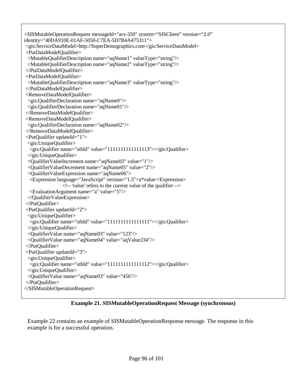<SISMutableOperationRequest messageId="acs-350" system="SISClient" version="2.0" identity="40DA910E-01AF-5050-C7EA-5D7B4A475311"> <gis:ServiceDataModel>http://SuperDemographics.com</gis:ServiceDataModel> <PutDataModelQualifier> <MutableQualifierDescription name="aqName1" valueType="string"/> <MutableQualifierDescription name="aqName2" valueType="string"/> </PutDataModelQualifier> <PutDataModelQualifier> <MutableQualifierDescription name="aqName3" valueType="string"/> </PutDataModelQualifier> <RemoveDataModelQualifier> <gis:QualifierDeclaration name="aqName0"/> <gis:QualifierDeclaration name="aqName01"/> </RemoveDataModelQualifier> <RemoveDataModelQualifier> <gis:QualifierDeclaration name="aqName02"/> </RemoveDataModelQualifier> <PutQualifier updateId="1"> <gis:UniqueQualifier> <gis:Qualifier name="stbId" value="1111111111111113"></gis:Qualifier> </gis:UniqueQualifier> <QualifierValueIncrement name="aqName03" value="1"/> <QualifierValueDecrement name="aqName05" value="2"/> <QualifierValueExpression name="aqName06"> <Expression language="JavaScript" version="1.5">a\*value</Expression> <!-- 'value' refers to the current value of the qualifier --> <EvaluationArgument name="a" value="5"/> </QualifierValueExpression> </PutQualifier> <PutQualifier updateId="2"> <gis:UniqueQualifier> <gis:Qualifier name="stbId" value="1111111111111111"></gis:Qualifier> </gis:UniqueQualifier> <QualifierValue name="aqName03" value="123"/> <QualifierValue name="aqName04" value="aqValue234"/> </PutQualifier> <PutQualifier updateId="3"> <gis:UniqueQualifier> <gis:Qualifier name="stbId" value="1111111111111112"></gis:Qualifier> </gis:UniqueQualifier> <QualifierValue name="aqName03" value="456"/> </PutQualifier> </SISMutableOperationRequest>

**Example 21. SISMutableOperationRequest Message (synchronous)**

<span id="page-95-0"></span>[Example 22](#page-96-0) contains an example of SISMutableOperationResponse message. The response in this example is for a successful operation.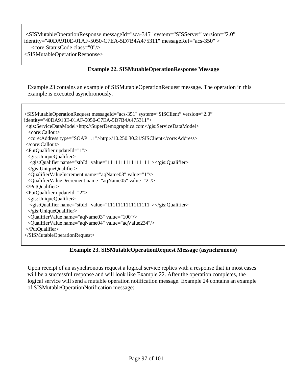<SISMutableOperationResponse messageId="sca-345" system="SISServer" version="2.0" identity="40DA910E-01AF-5050-C7EA-5D7B4A475311" messageRef="acs-350" > <core:StatusCode class="0"/> <SISMutableOperationResponse>

### **Example 22. SISMutableOperationResponse Message**

<span id="page-96-0"></span>[Example 23](#page-96-1) contains an example of SISMutableOperationRequest message. The operation in this example is executed asynchronously.

| <sismutableoperationrequest <br="" messageid="acs-351" system="SISClient" version="2.0">identity="40DA910E-01AF-5050-C7EA-5D7B4A475311"&gt;</sismutableoperationrequest> |  |  |
|--------------------------------------------------------------------------------------------------------------------------------------------------------------------------|--|--|
| <gis:servicedatamodel>http://SuperDemographics.com</gis:servicedatamodel>                                                                                                |  |  |
| <core:callout></core:callout>                                                                                                                                            |  |  |
| <core:address type="SOAP 1.1">http://10.250.30.21/SISClient</core:address>                                                                                               |  |  |
| $\langle$ core:Callout>                                                                                                                                                  |  |  |
| <putqualifier updateid="1"></putqualifier>                                                                                                                               |  |  |
| $\leq$ gis:UniqueQualifier>                                                                                                                                              |  |  |
| <gis:qualifier name="stbId" value="1111111111111111"></gis:qualifier>                                                                                                    |  |  |
| $\langle$ gis:UniqueQualifier>                                                                                                                                           |  |  |
|                                                                                                                                                                          |  |  |
| <qualifiervalueincrement name="aqName03" value="1"></qualifiervalueincrement><br><qualifiervaluedecrement name="aqName05" value="2"></qualifiervaluedecrement>           |  |  |
|                                                                                                                                                                          |  |  |
| $\langle$ PutQualifier>                                                                                                                                                  |  |  |
| $\leq$ PutQualifier updateId="2">                                                                                                                                        |  |  |
| $\leq$ gis:UniqueQualifier>                                                                                                                                              |  |  |
| <gis:qualifier name="stbId" value="1111111111111111"></gis:qualifier>                                                                                                    |  |  |
| $\langle$ gis:UniqueQualifier>                                                                                                                                           |  |  |
| <qualifiervalue name="aqName03" value="100"></qualifiervalue>                                                                                                            |  |  |
| <qualifiervalue name="aqName04" value="aqValue234"></qualifiervalue>                                                                                                     |  |  |
| $\langle$ PutQualifier>                                                                                                                                                  |  |  |
|                                                                                                                                                                          |  |  |

# **Example 23. SISMutableOperationRequest Message (asynchronous)**

<span id="page-96-1"></span>Upon receipt of an asynchronous request a logical service replies with a response that in most cases will be a successful response and will look like Example 22. After the operation completes, the logical service will send a mutable operation notification message. [Example 24](#page-97-0) contains an example of SISMutableOperationNotification message: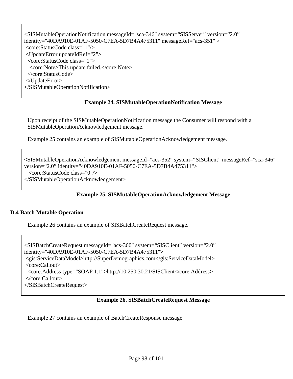<SISMutableOperationNotification messageId="sca-346" system="SISServer" version="2.0" identity="40DA910E-01AF-5050-C7EA-5D7B4A475311" messageRef="acs-351" > <core:StatusCode class="1"/> <UpdateError updateIdRef="2"> <core:StatusCode class="1"> <core:Note>This update failed.</core:Note> </core:StatusCode> </UpdateError> </SISMutableOperationNotification>

# **Example 24. SISMutableOperationNotification Message**

<span id="page-97-0"></span>Upon receipt of the SISMutableOperationNotification message the Consumer will respond with a SISMutableOperationAcknowledgement message.

[Example 25](#page-97-1) contains an example of SISMutableOperationAcknowledgement message.

```
<SISMutableOperationAcknowledgement messageId="acs-352" system="SISClient" messageRef="sca-346"
version="2.0" identity="40DA910E-01AF-5050-C7EA-5D7B4A475311">
  <core:StatusCode class="0"/>
</SISMutableOperationAcknowledgement>
```
# **Example 25. SISMutableOperationAcknowledgement Message**

# <span id="page-97-1"></span>**D.4 Batch Mutable Operation**

[Example 26](#page-97-2) contains an example of SISBatchCreateRequest message.

<SISBatchCreateRequest messageId="acs-360" system="SISClient" version="2.0" identity="40DA910E-01AF-5050-C7EA-5D7B4A475311"> <gis:ServiceDataModel>http://SuperDemographics.com</gis:ServiceDataModel> <core:Callout> <core:Address type="SOAP 1.1">http://10.250.30.21/SISClient</core:Address> </core:Callout> </SISBatchCreateRequest>

# **Example 26. SISBatchCreateRequest Message**

<span id="page-97-2"></span>[Example 27](#page-98-0) contains an example of BatchCreateResponse message.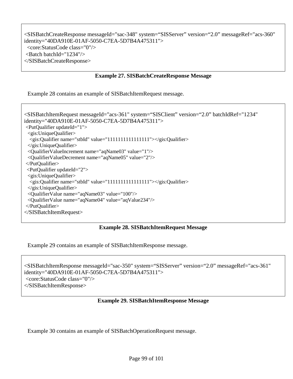<SISBatchCreateResponse messageId="sac-348" system="SISServer" version="2.0" messageRef="acs-360" identity="40DA910E-01AF-5050-C7EA-5D7B4A475311"> <core:StatusCode class="0"/>  $\epsilon$ -Batch batchId="1234"/ $>$ </SISBatchCreateResponse>

## **Example 27. SISBatchCreateResponse Message**

<span id="page-98-0"></span>[Example 28](#page-98-1) contains an example of SISBatchItemRequest message.

<SISBatchItemRequest messageId="acs-361" system="SISClient" version="2.0" batchIdRef="1234" identity="40DA910E-01AF-5050-C7EA-5D7B4A475311"> <PutQualifier updateId="1"> <gis:UniqueQualifier> <gis:Qualifier name="stbId" value="1111111111111111"></gis:Qualifier>  $\langle$ gis:UniqueQualifier> <QualifierValueIncrement name="aqName03" value="1"/> <QualifierValueDecrement name="aqName05" value="2"/> </PutQualifier> <PutQualifier updateId="2"> <gis:UniqueQualifier> <gis:Qualifier name="stbId" value="1111111111111111"></gis:Qualifier> </gis:UniqueQualifier> <QualifierValue name="aqName03" value="100"/> <QualifierValue name="aqName04" value="aqValue234"/> </PutQualifier> </SISBatchItemRequest>

# **Example 28. SISBatchItemRequest Message**

<span id="page-98-1"></span>[Example 29](#page-98-2) contains an example of SISBatchItemResponse message.

<SISBatchItemResponse messageId="sac-350" system="SISServer" version="2.0" messageRef="acs-361" identity="40DA910E-01AF-5050-C7EA-5D7B4A475311"> <core:StatusCode class="0"/> </SISBatchItemResponse>

#### **Example 29. SISBatchItemResponse Message**

<span id="page-98-2"></span>[Example 30](#page-99-0) contains an example of SISBatchOperationRequest message.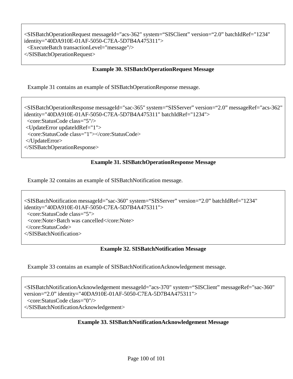<SISBatchOperationRequest messageId="acs-362" system="SISClient" version="2.0" batchIdRef="1234" identity="40DA910E-01AF-5050-C7EA-5D7B4A475311"> <ExecuteBatch transactionLevel="message"/> </SISBatchOperationRequest>

# **Example 30. SISBatchOperationRequest Message**

<span id="page-99-0"></span>[Example 31](#page-99-1) contains an example of SISBatchOperationResponse message.

<SISBatchOperationResponse messageId="sac-365" system="SISServer" version="2.0" messageRef="acs-362" identity="40DA910E-01AF-5050-C7EA-5D7B4A475311" batchIdRef="1234"> <core:StatusCode class="5"/> <UpdateError updateIdRef="1"> <core:StatusCode class="1"></core:StatusCode> </UpdateError> </SISBatchOperationResponse>

# **Example 31. SISBatchOperationResponse Message**

<span id="page-99-1"></span>[Example 32](#page-99-2) contains an example of SISBatchNotification message.

<SISBatchNotification messageId="sac-360" system="SISServer" version="2.0" batchIdRef="1234" identity="40DA910E-01AF-5050-C7EA-5D7B4A475311"> <core:StatusCode class="5"> <core:Note>Batch was cancelled</core:Note> </core:StatusCode> </SISBatchNotification>

# **Example 32. SISBatchNotification Message**

<span id="page-99-2"></span>[Example 33](#page-99-3) contains an example of SISBatchNotificationAcknowledgement message.

<span id="page-99-3"></span><SISBatchNotificationAcknowledgement messageId="acs-370" system="SISClient" messageRef="sac-360" version="2.0" identity="40DA910E-01AF-5050-C7EA-5D7B4A475311"> <core:StatusCode class="0"/> </SISBatchNotificationAcknowledgement>

# **Example 33. SISBatchNotificationAcknowledgement Message**